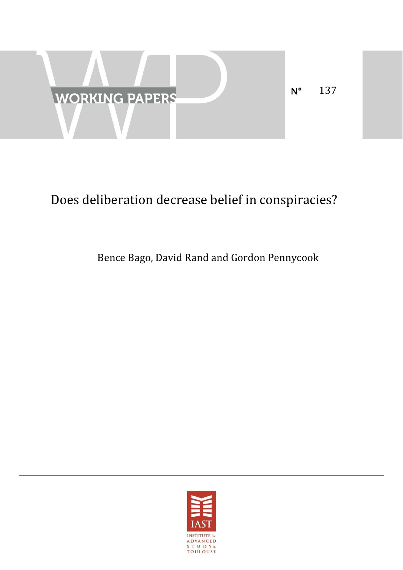

# Does deliberation decrease belief in conspiracies?

# Bence Bago, David Rand and Gordon Pennycook

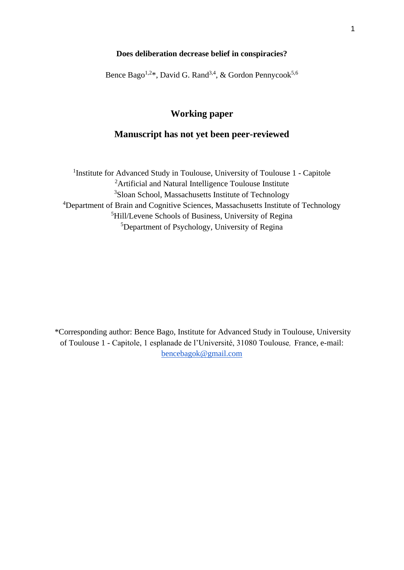#### **Does deliberation decrease belief in conspiracies?**

Bence Bago<sup>1,2\*</sup>, David G. Rand<sup>3,4</sup>, & Gordon Pennycook<sup>5,6</sup>

## **Working paper**

### **Manuscript has not yet been peer-reviewed**

<sup>1</sup>Institute for Advanced Study in Toulouse, University of Toulouse 1 - Capitole Artificial and Natural Intelligence Toulouse Institute <sup>3</sup>Sloan School, Massachusetts Institute of Technology Department of Brain and Cognitive Sciences, Massachusetts Institute of Technology Hill/Levene Schools of Business, University of Regina Department of Psychology, University of Regina

\*Corresponding author: Bence Bago, Institute for Advanced Study in Toulouse, University of Toulouse 1 - Capitole, 1 esplanade de l'Université, 31080 Toulouse, France, e-mail: [bencebagok@gmail.com](mailto:bencebagok@gmail.com)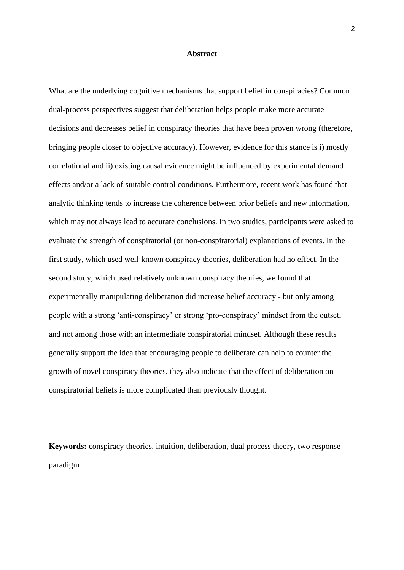#### **Abstract**

What are the underlying cognitive mechanisms that support belief in conspiracies? Common dual-process perspectives suggest that deliberation helps people make more accurate decisions and decreases belief in conspiracy theories that have been proven wrong (therefore, bringing people closer to objective accuracy). However, evidence for this stance is i) mostly correlational and ii) existing causal evidence might be influenced by experimental demand effects and/or a lack of suitable control conditions. Furthermore, recent work has found that analytic thinking tends to increase the coherence between prior beliefs and new information, which may not always lead to accurate conclusions. In two studies, participants were asked to evaluate the strength of conspiratorial (or non-conspiratorial) explanations of events. In the first study, which used well-known conspiracy theories, deliberation had no effect. In the second study, which used relatively unknown conspiracy theories, we found that experimentally manipulating deliberation did increase belief accuracy - but only among people with a strong 'anti-conspiracy' or strong 'pro-conspiracy' mindset from the outset, and not among those with an intermediate conspiratorial mindset. Although these results generally support the idea that encouraging people to deliberate can help to counter the growth of novel conspiracy theories, they also indicate that the effect of deliberation on conspiratorial beliefs is more complicated than previously thought.

**Keywords:** conspiracy theories, intuition, deliberation, dual process theory, two response paradigm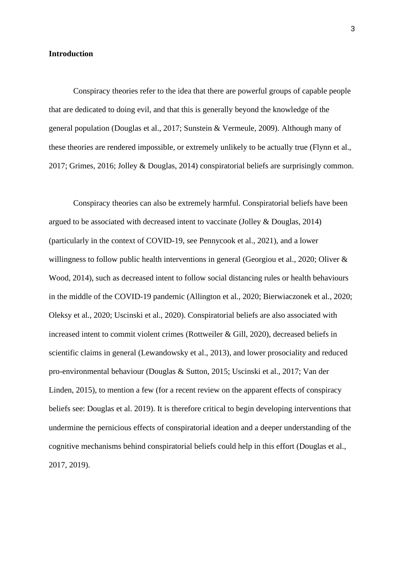#### **Introduction**

Conspiracy theories refer to the idea that there are powerful groups of capable people that are dedicated to doing evil, and that this is generally beyond the knowledge of the general population [\(Douglas et al., 2017; Sunstein & Vermeule, 2009\).](https://www.zotero.org/google-docs/?US5wH1) Although many of these theories are rendered impossible, or extremely unlikely to be actually true [\(Flynn et al.,](https://www.zotero.org/google-docs/?Eg2gPQ)  [2017; Grimes, 2016; Jolley & Douglas, 2014\)](https://www.zotero.org/google-docs/?Eg2gPQ) conspiratorial beliefs are surprisingly common.

Conspiracy theories can also be extremely harmful. Conspiratorial beliefs have been argued to be associated with decreased intent to vaccinate [\(Jolley & Douglas, 2014\)](https://www.zotero.org/google-docs/?4KY6Bz) (particularly in the context of COVID-19, see [Pennycook et al.,](https://www.zotero.org/google-docs/?N8hMF2) 2021), and a lower willingness to follow public health interventions in general (Georgiou et al., 2020; Oliver & [Wood, 2014\),](https://www.zotero.org/google-docs/?wVWogW) such as decreased intent to follow social distancing rules or health behaviours in the middle of the COVID-19 pandemic [\(Allington et al., 2020; Bierwiaczonek et al., 2020;](https://www.zotero.org/google-docs/?QNIGjl)  [Oleksy et al., 2020; Uscinski et al., 2020\).](https://www.zotero.org/google-docs/?QNIGjl) Conspiratorial beliefs are also associated with increased intent to commit violent crimes [\(Rottweiler & Gill, 2020\),](https://www.zotero.org/google-docs/?s9ssov) decreased beliefs in scientific claims in general [\(Lewandowsky et al., 2013\),](https://www.zotero.org/google-docs/?yDJeKz) and lower prosociality and reduced pro-environmental behaviour [\(Douglas & Sutton, 2015; Uscinski et al., 2017; Van der](https://www.zotero.org/google-docs/?CJF1Yo)  [Linden, 2015\),](https://www.zotero.org/google-docs/?CJF1Yo) to mention a few (for a recent review on the apparent effects of conspiracy beliefs see: Douglas et al. 2019). It is therefore critical to begin developing interventions that undermine the pernicious effects of conspiratorial ideation and a deeper understanding of the cognitive mechanisms behind conspiratorial beliefs could help in this effort [\(Douglas et al.,](https://www.zotero.org/google-docs/?iA2qN0)  [2017, 2019\).](https://www.zotero.org/google-docs/?iA2qN0)

3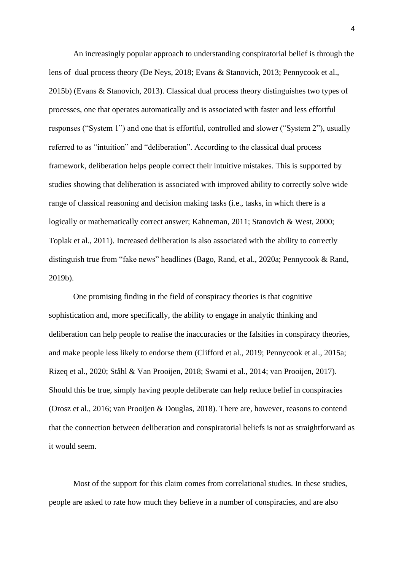An increasingly popular approach to understanding conspiratorial belief is through the lens of dual process theory [\(De Neys, 2018; Evans & Stanovich, 2013; Pennycook et al.,](https://www.zotero.org/google-docs/?iToxN4)  [2015b\)](https://www.zotero.org/google-docs/?iToxN4) [\(Evans & Stanovich, 2013\).](https://www.zotero.org/google-docs/?Xl277q) Classical dual process theory distinguishes two types of processes, one that operates automatically and is associated with faster and less effortful responses ("System 1") and one that is effortful, controlled and slower ("System 2"), usually referred to as "intuition" and "deliberation". According to the classical dual process framework, deliberation helps people correct their intuitive mistakes. This is supported by studies showing that deliberation is associated with improved ability to correctly solve wide range of classical reasoning and decision making tasks (i.e., tasks, in which there is a logically or mathematically correct answer; Kahneman, 2011; Stanovich & West, 2000; [Toplak et al., 2011\).](https://www.zotero.org/google-docs/?ZDVXHB) Increased deliberation is also associated with the ability to correctly distinguish true from "fake news" headlines [\(Bago, Rand, et al., 2020a; Pennycook & Rand,](https://www.zotero.org/google-docs/?oX2YWU)  [2019b\).](https://www.zotero.org/google-docs/?oX2YWU)

One promising finding in the field of conspiracy theories is that cognitive sophistication and, more specifically, the ability to engage in analytic thinking and deliberation can help people to realise the inaccuracies or the falsities in conspiracy theories, and make people less likely to endorse them [\(Clifford et al., 2019; Pennycook et al., 2015a;](https://www.zotero.org/google-docs/?2mUnOJ)  [Rizeq et al., 2020; Ståhl & Van Prooijen, 2018; Swami et al., 2014; van Prooijen, 2017\).](https://www.zotero.org/google-docs/?2mUnOJ) Should this be true, simply having people deliberate can help reduce belief in conspiracies [\(Orosz et al., 2016; van Prooijen & Douglas, 2018\).](https://www.zotero.org/google-docs/?9T3jKN) There are, however, reasons to contend that the connection between deliberation and conspiratorial beliefs is not as straightforward as it would seem.

Most of the support for this claim comes from correlational studies. In these studies, people are asked to rate how much they believe in a number of conspiracies, and are also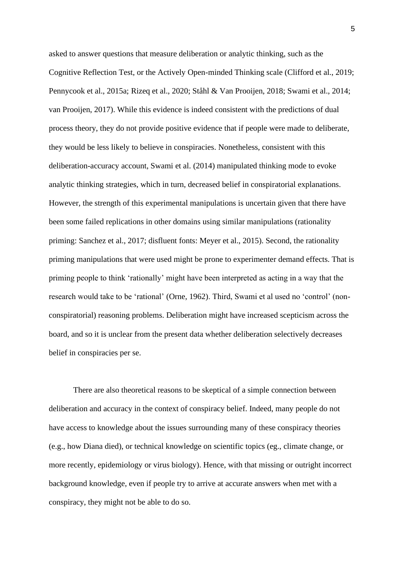asked to answer questions that measure deliberation or analytic thinking, such as the Cognitive Reflection Test, or the Actively Open-minded Thinking scale [\(Clifford et al., 2019;](https://www.zotero.org/google-docs/?c7ZF1G)  [Pennycook et al., 2015a; Rizeq et al., 2020; Ståhl & Van Prooijen, 2018; Swami et al., 2014;](https://www.zotero.org/google-docs/?c7ZF1G)  [van Prooijen, 2017\).](https://www.zotero.org/google-docs/?c7ZF1G) While this evidence is indeed consistent with the predictions of dual process theory, they do not provide positive evidence that if people were made to deliberate, they would be less likely to believe in conspiracies. Nonetheless, consistent with this deliberation-accuracy account, Swami et al. [\(2014\)](https://www.zotero.org/google-docs/?o5AMso) manipulated thinking mode to evoke analytic thinking strategies, which in turn, decreased belief in conspiratorial explanations. However, the strength of this experimental manipulations is uncertain given that there have been some failed replications in other domains using similar manipulations (rationality priming: [Sanchez et al., 2017;](https://www.zotero.org/google-docs/?iLsY5P) disfluent fonts: [Meyer et al., 2015\)](https://www.zotero.org/google-docs/?qc2ZaF). Second, the rationality priming manipulations that were used might be prone to experimenter demand effects. That is priming people to think 'rationally' might have been interpreted as acting in a way that the research would take to be 'rational' [\(Orne, 1962\).](https://www.zotero.org/google-docs/?XwCqpj) Third, Swami et al used no 'control' (nonconspiratorial) reasoning problems. Deliberation might have increased scepticism across the board, and so it is unclear from the present data whether deliberation selectively decreases belief in conspiracies per se.

There are also theoretical reasons to be skeptical of a simple connection between deliberation and accuracy in the context of conspiracy belief. Indeed, many people do not have access to knowledge about the issues surrounding many of these conspiracy theories (e.g., how Diana died), or technical knowledge on scientific topics (eg., climate change, or more recently, epidemiology or virus biology). Hence, with that missing or outright incorrect background knowledge, even if people try to arrive at accurate answers when met with a conspiracy, they might not be able to do so.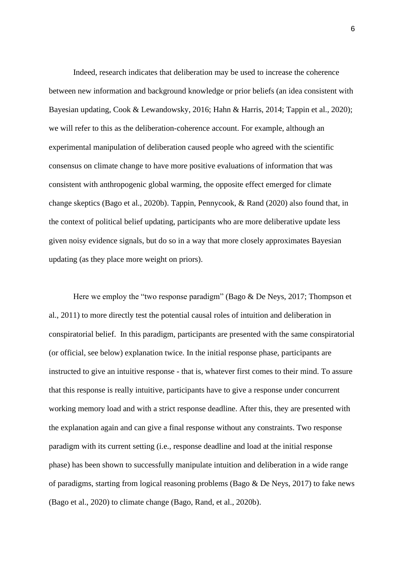Indeed, research indicates that deliberation may be used to increase the coherence between new information and background knowledge or prior beliefs (an idea consistent with Bayesian updating, [Cook & Lewandowsky, 2016; Hahn & Harris, 2014; Tappin et al., 2020\);](https://www.zotero.org/google-docs/?LZc1FI) we will refer to this as the deliberation-coherence account. For example, although an experimental manipulation of deliberation caused people who agreed with the scientific consensus on climate change to have more positive evaluations of information that was consistent with anthropogenic global warming, the opposite effect emerged for climate change skeptics (Bago et al., 2020b). Tappin, Pennycook, & Rand (2020) also found that, in the context of political belief updating, participants who are more deliberative update less given noisy evidence signals, but do so in a way that more closely approximates Bayesian updating (as they place more weight on priors).

Here we employ the "two response paradigm" [\(Bago & De Neys, 2017; Thompson et](https://www.zotero.org/google-docs/?dR46Qp)  [al., 2011\)](https://www.zotero.org/google-docs/?dR46Qp) to more directly test the potential causal roles of intuition and deliberation in conspiratorial belief. In this paradigm, participants are presented with the same conspiratorial (or official, see below) explanation twice. In the initial response phase, participants are instructed to give an intuitive response - that is, whatever first comes to their mind. To assure that this response is really intuitive, participants have to give a response under concurrent working memory load and with a strict response deadline. After this, they are presented with the explanation again and can give a final response without any constraints. Two response paradigm with its current setting (i.e., response deadline and load at the initial response phase) has been shown to successfully manipulate intuition and deliberation in a wide range of paradigms, starting from logical reasoning problems (Bago & De Neys, 2017) to fake news (Bago et al., 2020) to climate change [\(Bago, Rand,](https://www.zotero.org/google-docs/?SWKi2l) et al., 2020b).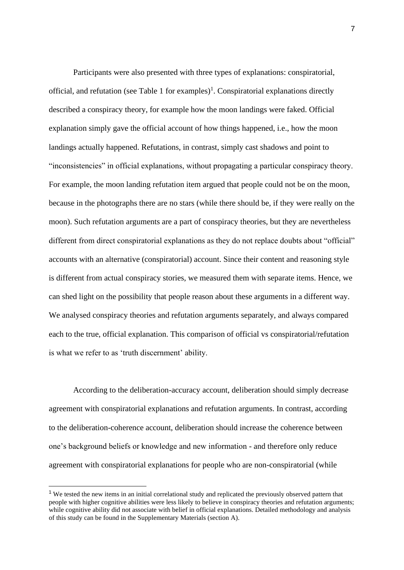Participants were also presented with three types of explanations: conspiratorial, official, and refutation (see Table 1 for examples)<sup>1</sup>. Conspiratorial explanations directly described a conspiracy theory, for example how the moon landings were faked. Official explanation simply gave the official account of how things happened, i.e., how the moon landings actually happened. Refutations, in contrast, simply cast shadows and point to "inconsistencies" in official explanations, without propagating a particular conspiracy theory. For example, the moon landing refutation item argued that people could not be on the moon, because in the photographs there are no stars (while there should be, if they were really on the moon). Such refutation arguments are a part of conspiracy theories, but they are nevertheless different from direct conspiratorial explanations as they do not replace doubts about "official" accounts with an alternative (conspiratorial) account. Since their content and reasoning style is different from actual conspiracy stories, we measured them with separate items. Hence, we can shed light on the possibility that people reason about these arguments in a different way. We analysed conspiracy theories and refutation arguments separately, and always compared each to the true, official explanation. This comparison of official vs conspiratorial/refutation is what we refer to as 'truth discernment' ability.

According to the deliberation-accuracy account, deliberation should simply decrease agreement with conspiratorial explanations and refutation arguments. In contrast, according to the deliberation-coherence account, deliberation should increase the coherence between one's background beliefs or knowledge and new information - and therefore only reduce agreement with conspiratorial explanations for people who are non-conspiratorial (while

<sup>&</sup>lt;sup>1</sup> We tested the new items in an initial correlational study and replicated the previously observed pattern that people with higher cognitive abilities were less likely to believe in conspiracy theories and refutation arguments; while cognitive ability did not associate with belief in official explanations. Detailed methodology and analysis of this study can be found in the Supplementary Materials (section A).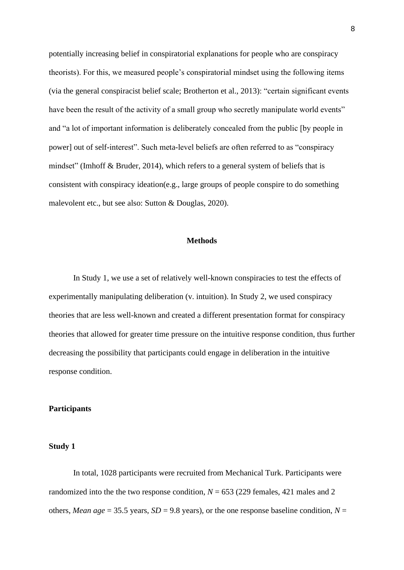potentially increasing belief in conspiratorial explanations for people who are conspiracy theorists). For this, we measured people's conspiratorial mindset using the following items (via the general conspiracist belief scale; [Brotherton et al., 2013\):](https://www.zotero.org/google-docs/?AYGDgy) "certain significant events have been the result of the activity of a small group who secretly manipulate world events" and "a lot of important information is deliberately concealed from the public [by people in power] out of self-interest". Such meta-level beliefs are often referred to as "conspiracy mindset" [\(Imhoff & Bruder, 2014\),](https://www.zotero.org/google-docs/?PYcyGs) which refers to a general system of beliefs that is consistent with conspiracy ideation(e.g., large groups of people conspire to do something malevolent etc., but see also: [Sutton & Douglas, 2020\).](https://www.zotero.org/google-docs/?TtPMDl)

#### **Methods**

In Study 1, we use a set of relatively well-known conspiracies to test the effects of experimentally manipulating deliberation (v. intuition). In Study 2, we used conspiracy theories that are less well-known and created a different presentation format for conspiracy theories that allowed for greater time pressure on the intuitive response condition, thus further decreasing the possibility that participants could engage in deliberation in the intuitive response condition.

#### **Participants**

#### **Study 1**

In total, 1028 participants were recruited from Mechanical Turk. Participants were randomized into the the two response condition,  $N = 653$  (229 females, 421 males and 2 others, *Mean age* = 35.5 years,  $SD = 9.8$  years), or the one response baseline condition,  $N =$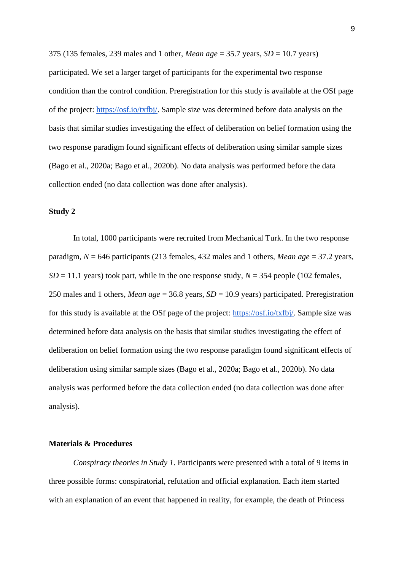375 (135 females, 239 males and 1 other, *Mean age* = 35.7 years, *SD* = 10.7 years) participated. We set a larger target of participants for the experimental two response condition than the control condition. Preregistration for this study is available at the OSf page of the project: [https://osf.io/txfbj/.](https://osf.io/txfbj/) Sample size was determined before data analysis on the basis that similar studies investigating the effect of deliberation on belief formation using the two response paradigm found significant effects of deliberation using similar sample sizes (Bago et al., 2020a; Bago et al., 2020b). No data analysis was performed before the data collection ended (no data collection was done after analysis).

#### **Study 2**

In total, 1000 participants were recruited from Mechanical Turk. In the two response paradigm, *N* = 646 participants (213 females, 432 males and 1 others, *Mean age* = 37.2 years,  $SD = 11.1$  years) took part, while in the one response study,  $N = 354$  people (102 females, 250 males and 1 others, *Mean age* = 36.8 years, *SD* = 10.9 years) participated. Preregistration for this study is available at the OSf page of the project: [https://osf.io/txfbj/.](https://osf.io/txfbj/) Sample size was determined before data analysis on the basis that similar studies investigating the effect of deliberation on belief formation using the two response paradigm found significant effects of deliberation using similar sample sizes (Bago et al., 2020a; Bago et al., 2020b). No data analysis was performed before the data collection ended (no data collection was done after analysis).

#### **Materials & Procedures**

*Conspiracy theories in Study 1*. Participants were presented with a total of 9 items in three possible forms: conspiratorial, refutation and official explanation. Each item started with an explanation of an event that happened in reality, for example, the death of Princess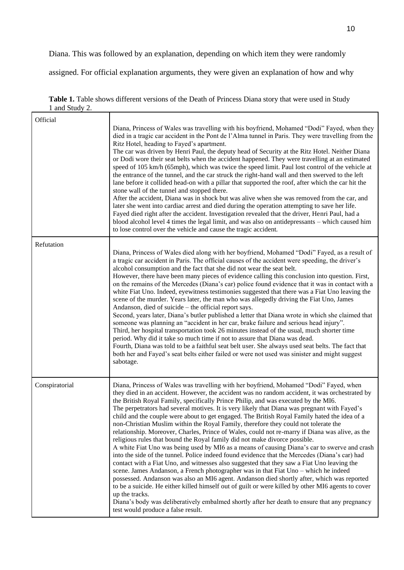Diana. This was followed by an explanation, depending on which item they were randomly

assigned. For official explanation arguments, they were given an explanation of how and why

|                | Table 1. Table shows different versions of the Death of Princess Diana story that were used in Study |  |  |  |  |  |
|----------------|------------------------------------------------------------------------------------------------------|--|--|--|--|--|
| 1 and Study 2. |                                                                                                      |  |  |  |  |  |

| Official       | Diana, Princess of Wales was travelling with his boyfriend, Mohamed "Dodi" Fayed, when they<br>died in a tragic car accident in the Pont de l'Alma tunnel in Paris. They were travelling from the<br>Ritz Hotel, heading to Fayed's apartment.<br>The car was driven by Henri Paul, the deputy head of Security at the Ritz Hotel. Neither Diana<br>or Dodi wore their seat belts when the accident happened. They were travelling at an estimated<br>speed of 105 km/h (65mph), which was twice the speed limit. Paul lost control of the vehicle at<br>the entrance of the tunnel, and the car struck the right-hand wall and then swerved to the left<br>lane before it collided head-on with a pillar that supported the roof, after which the car hit the<br>stone wall of the tunnel and stopped there.                                                                                                                                                                                                                                                                                                                                                                                                                                                                                                                                                                                                                                                                                             |
|----------------|-----------------------------------------------------------------------------------------------------------------------------------------------------------------------------------------------------------------------------------------------------------------------------------------------------------------------------------------------------------------------------------------------------------------------------------------------------------------------------------------------------------------------------------------------------------------------------------------------------------------------------------------------------------------------------------------------------------------------------------------------------------------------------------------------------------------------------------------------------------------------------------------------------------------------------------------------------------------------------------------------------------------------------------------------------------------------------------------------------------------------------------------------------------------------------------------------------------------------------------------------------------------------------------------------------------------------------------------------------------------------------------------------------------------------------------------------------------------------------------------------------------|
|                | After the accident, Diana was in shock but was alive when she was removed from the car, and<br>later she went into cardiac arrest and died during the operation attempting to save her life.<br>Fayed died right after the accident. Investigation revealed that the driver, Henri Paul, had a<br>blood alcohol level 4 times the legal limit, and was also on antidepressants – which caused him<br>to lose control over the vehicle and cause the tragic accident.                                                                                                                                                                                                                                                                                                                                                                                                                                                                                                                                                                                                                                                                                                                                                                                                                                                                                                                                                                                                                                      |
| Refutation     | Diana, Princess of Wales died along with her boyfriend, Mohamed "Dodi" Fayed, as a result of<br>a tragic car accident in Paris. The official causes of the accident were speeding, the driver's<br>alcohol consumption and the fact that she did not wear the seat belt.<br>However, there have been many pieces of evidence calling this conclusion into question. First,<br>on the remains of the Mercedes (Diana's car) police found evidence that it was in contact with a<br>white Fiat Uno. Indeed, eyewitness testimonies suggested that there was a Fiat Uno leaving the<br>scene of the murder. Years later, the man who was allegedly driving the Fiat Uno, James<br>Andanson, died of suicide – the official report says.<br>Second, years later, Diana's butler published a letter that Diana wrote in which she claimed that<br>someone was planning an "accident in her car, brake failure and serious head injury".<br>Third, her hospital transportation took 26 minutes instead of the usual, much shorter time<br>period. Why did it take so much time if not to assure that Diana was dead.<br>Fourth, Diana was told to be a faithful seat belt user. She always used seat belts. The fact that<br>both her and Fayed's seat belts either failed or were not used was sinister and might suggest<br>sabotage.                                                                                                                                                                         |
| Conspiratorial | Diana, Princess of Wales was travelling with her boyfriend, Mohamed "Dodi" Fayed, when<br>they died in an accident. However, the accident was no random accident, it was orchestrated by<br>the British Royal Family, specifically Prince Philip, and was executed by the MI6.<br>The perpetrators had several motives. It is very likely that Diana was pregnant with Fayed's<br>child and the couple were about to get engaged. The British Royal Family hated the idea of a<br>non-Christian Muslim within the Royal Family, therefore they could not tolerate the<br>relationship. Moreover, Charles, Prince of Wales, could not re-marry if Diana was alive, as the<br>religious rules that bound the Royal family did not make divorce possible.<br>A white Fiat Uno was being used by MI6 as a means of causing Diana's car to swerve and crash<br>into the side of the tunnel. Police indeed found evidence that the Mercedes (Diana's car) had<br>contact with a Fiat Uno, and witnesses also suggested that they saw a Fiat Uno leaving the<br>scene. James Andanson, a French photographer was in that Fiat Uno - which he indeed<br>possessed. Andanson was also an MI6 agent. Andanson died shortly after, which was reported<br>to be a suicide. He either killed himself out of guilt or were killed by other MI6 agents to cover<br>up the tracks.<br>Diana's body was deliberatively embalmed shortly after her death to ensure that any pregnancy<br>test would produce a false result. |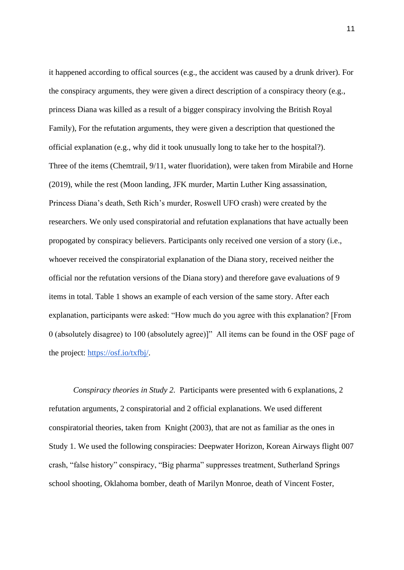it happened according to offical sources (e.g., the accident was caused by a drunk driver). For the conspiracy arguments, they were given a direct description of a conspiracy theory (e.g., princess Diana was killed as a result of a bigger conspiracy involving the British Royal Family), For the refutation arguments, they were given a description that questioned the official explanation (e.g., why did it took unusually long to take her to the hospital?). Three of the items (Chemtrail, 9/11, water fluoridation), were taken from Mirabile and Horne [\(2019\),](https://www.zotero.org/google-docs/?fkxfOm) while the rest (Moon landing, JFK murder, Martin Luther King assassination, Princess Diana's death, Seth Rich's murder, Roswell UFO crash) were created by the researchers. We only used conspiratorial and refutation explanations that have actually been propogated by conspiracy believers. Participants only received one version of a story (i.e., whoever received the conspiratorial explanation of the Diana story, received neither the official nor the refutation versions of the Diana story) and therefore gave evaluations of 9 items in total. Table 1 shows an example of each version of the same story. After each explanation, participants were asked: "How much do you agree with this explanation? [From 0 (absolutely disagree) to 100 (absolutely agree)]" All items can be found in the OSF page of the project: [https://osf.io/txfbj/.](https://osf.io/txfbj/)

*Conspiracy theories in Study 2. Participants were presented with 6 explanations, 2* refutation arguments, 2 conspiratorial and 2 official explanations. We used different conspiratorial theories, taken from [Knight \(2003\),](https://www.zotero.org/google-docs/?62m2mQ) that are not as familiar as the ones in Study 1. We used the following conspiracies: Deepwater Horizon, Korean Airways flight 007 crash, "false history" conspiracy, "Big pharma" suppresses treatment, Sutherland Springs school shooting, Oklahoma bomber, death of Marilyn Monroe, death of Vincent Foster,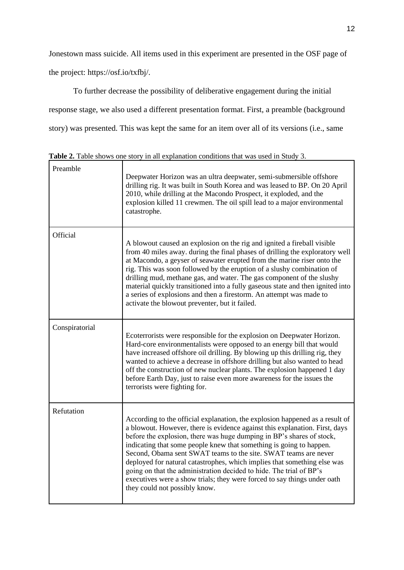Jonestown mass suicide. All items used in this experiment are presented in the OSF page of

the project: https://osf.io/txfbj/.

To further decrease the possibility of deliberative engagement during the initial response stage, we also used a different presentation format. First, a preamble (background story) was presented. This was kept the same for an item over all of its versions (i.e., same

| Preamble       | Deepwater Horizon was an ultra deepwater, semi-submersible offshore<br>drilling rig. It was built in South Korea and was leased to BP. On 20 April<br>2010, while drilling at the Macondo Prospect, it exploded, and the<br>explosion killed 11 crewmen. The oil spill lead to a major environmental<br>catastrophe.                                                                                                                                                                                                                                                                                                                           |
|----------------|------------------------------------------------------------------------------------------------------------------------------------------------------------------------------------------------------------------------------------------------------------------------------------------------------------------------------------------------------------------------------------------------------------------------------------------------------------------------------------------------------------------------------------------------------------------------------------------------------------------------------------------------|
| Official       | A blowout caused an explosion on the rig and ignited a fireball visible<br>from 40 miles away. during the final phases of drilling the exploratory well<br>at Macondo, a geyser of seawater erupted from the marine riser onto the<br>rig. This was soon followed by the eruption of a slushy combination of<br>drilling mud, methane gas, and water. The gas component of the slushy<br>material quickly transitioned into a fully gaseous state and then ignited into<br>a series of explosions and then a firestorm. An attempt was made to<br>activate the blowout preventer, but it failed.                                               |
| Conspiratorial | Ecoterrorists were responsible for the explosion on Deepwater Horizon.<br>Hard-core environmentalists were opposed to an energy bill that would<br>have increased offshore oil drilling. By blowing up this drilling rig, they<br>wanted to achieve a decrease in offshore drilling but also wanted to head<br>off the construction of new nuclear plants. The explosion happened 1 day<br>before Earth Day, just to raise even more awareness for the issues the<br>terrorists were fighting for.                                                                                                                                             |
| Refutation     | According to the official explanation, the explosion happened as a result of<br>a blowout. However, there is evidence against this explanation. First, days<br>before the explosion, there was huge dumping in BP's shares of stock,<br>indicating that some people knew that something is going to happen.<br>Second, Obama sent SWAT teams to the site. SWAT teams are never<br>deployed for natural catastrophes, which implies that something else was<br>going on that the administration decided to hide. The trial of BP's<br>executives were a show trials; they were forced to say things under oath<br>they could not possibly know. |

**Table 2.** Table shows one story in all explanation conditions that was used in Study 3.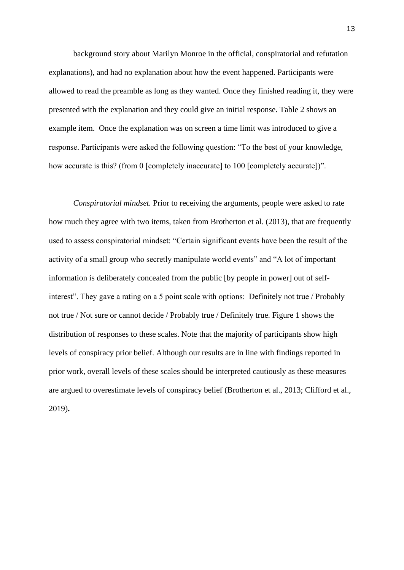background story about Marilyn Monroe in the official, conspiratorial and refutation explanations), and had no explanation about how the event happened. Participants were allowed to read the preamble as long as they wanted. Once they finished reading it, they were presented with the explanation and they could give an initial response. Table 2 shows an example item. Once the explanation was on screen a time limit was introduced to give a response. Participants were asked the following question: "To the best of your knowledge, how accurate is this? (from 0 [completely inaccurate] to 100 [completely accurate])".

*Conspiratorial mindset.* Prior to receiving the arguments, people were asked to rate how much they agree with two items, taken from Brotherton et al. (2013), that are frequently used to assess conspiratorial mindset: "Certain significant events have been the result of the activity of a small group who secretly manipulate world events" and "A lot of important information is deliberately concealed from the public [by people in power] out of selfinterest". They gave a rating on a 5 point scale with options: Definitely not true / Probably not true / Not sure or cannot decide / Probably true / Definitely true. Figure 1 shows the distribution of responses to these scales. Note that the majority of participants show high levels of conspiracy prior belief. Although our results are in line with findings reported in prior work, overall levels of these scales should be interpreted cautiously as these measures are argued to overestimate levels of conspiracy belief [\(Brotherton et al., 2013; Clifford et al.,](https://www.zotero.org/google-docs/?CvWx6h)  [2019\)](https://www.zotero.org/google-docs/?CvWx6h)**.**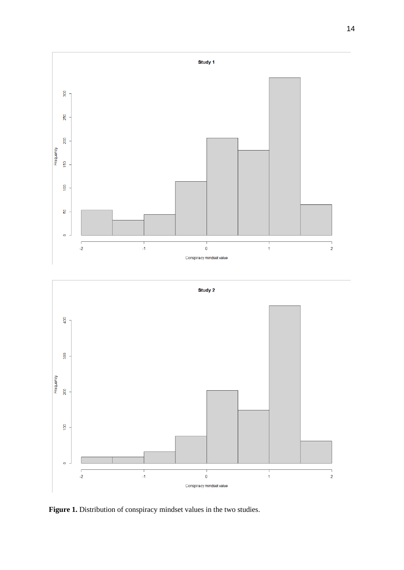

**Figure 1.** Distribution of conspiracy mindset values in the two studies.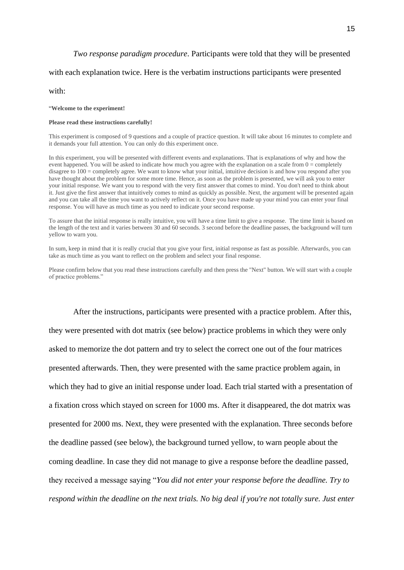#### *Two response paradigm procedure*. Participants were told that they will be presented

#### with each explanation twice. Here is the verbatim instructions participants were presented

with:

#### "**Welcome to the experiment!**

#### **Please read these instructions carefully!**

This experiment is composed of 9 questions and a couple of practice question. It will take about 16 minutes to complete and it demands your full attention. You can only do this experiment once.

In this experiment, you will be presented with different events and explanations. That is explanations of why and how the event happened. You will be asked to indicate how much you agree with the explanation on a scale from  $0 =$  completely disagree to  $100 =$  completely agree. We want to know what your initial, intuitive decision is and how you respond after you have thought about the problem for some more time. Hence, as soon as the problem is presented, we will ask you to enter your initial response. We want you to respond with the very first answer that comes to mind. You don't need to think about it. Just give the first answer that intuitively comes to mind as quickly as possible. Next, the argument will be presented again and you can take all the time you want to actively reflect on it. Once you have made up your mind you can enter your final response. You will have as much time as you need to indicate your second response.

To assure that the initial response is really intuitive, you will have a time limit to give a response. The time limit is based on the length of the text and it varies between 30 and 60 seconds. 3 second before the deadline passes, the background will turn yellow to warn you.

In sum, keep in mind that it is really crucial that you give your first, initial response as fast as possible. Afterwards, you can take as much time as you want to reflect on the problem and select your final response.

Please confirm below that you read these instructions carefully and then press the "Next" button. We will start with a couple of practice problems."

After the instructions, participants were presented with a practice problem. After this, they were presented with dot matrix (see below) practice problems in which they were only asked to memorize the dot pattern and try to select the correct one out of the four matrices presented afterwards. Then, they were presented with the same practice problem again, in which they had to give an initial response under load. Each trial started with a presentation of a fixation cross which stayed on screen for 1000 ms. After it disappeared, the dot matrix was presented for 2000 ms. Next, they were presented with the explanation. Three seconds before the deadline passed (see below), the background turned yellow, to warn people about the coming deadline. In case they did not manage to give a response before the deadline passed, they received a message saying "*You did not enter your response before the deadline. Try to respond within the deadline on the next trials. No big deal if you're not totally sure. Just enter*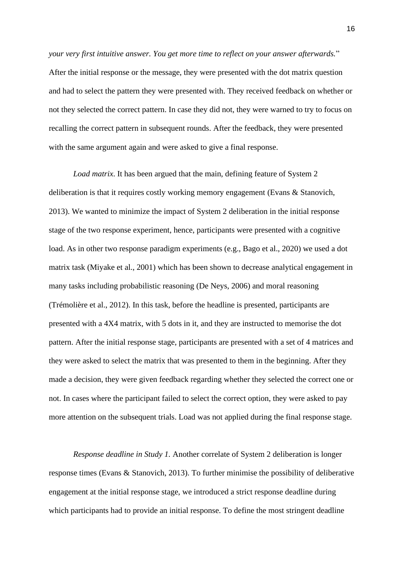*your very first intuitive answer. You get more time to reflect on your answer afterwards.*" After the initial response or the message, they were presented with the dot matrix question and had to select the pattern they were presented with. They received feedback on whether or not they selected the correct pattern. In case they did not, they were warned to try to focus on recalling the correct pattern in subsequent rounds. After the feedback, they were presented with the same argument again and were asked to give a final response.

*Load matrix*. It has been argued that the main, defining feature of System 2 deliberation is that it requires costly working memory engagement [\(Evans & Stanovich,](https://www.zotero.org/google-docs/?645a6y)  [2013\).](https://www.zotero.org/google-docs/?645a6y) We wanted to minimize the impact of System 2 deliberation in the initial response stage of the two response experiment, hence, participants were presented with a cognitive load. As in other two response paradigm experiments (e.g., [Bago et al., 2020\)](https://www.zotero.org/google-docs/?Uq87Nw) we used a dot matrix task [\(Miyake et al., 2001\)](https://www.zotero.org/google-docs/?RVDMRF) which has been shown to decrease analytical engagement in many tasks including probabilistic reasoning [\(De Neys, 2006\)](https://www.zotero.org/google-docs/?Sirf0D) and moral reasoning [\(Trémolière et al., 2012\).](https://www.zotero.org/google-docs/?wpC001) In this task, before the headline is presented, participants are presented with a 4X4 matrix, with 5 dots in it, and they are instructed to memorise the dot pattern. After the initial response stage, participants are presented with a set of 4 matrices and they were asked to select the matrix that was presented to them in the beginning. After they made a decision, they were given feedback regarding whether they selected the correct one or not. In cases where the participant failed to select the correct option, they were asked to pay more attention on the subsequent trials. Load was not applied during the final response stage.

*Response deadline in Study 1.* Another correlate of System 2 deliberation is longer response times (Evans & Stanovich, 2013). To further minimise the possibility of deliberative engagement at the initial response stage, we introduced a strict response deadline during which participants had to provide an initial response. To define the most stringent deadline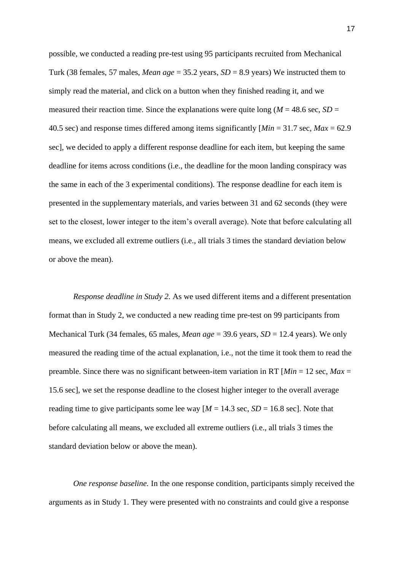possible, we conducted a reading pre-test using 95 participants recruited from Mechanical Turk (38 females, 57 males, *Mean age* = 35.2 years, *SD* = 8.9 years) We instructed them to simply read the material, and click on a button when they finished reading it, and we measured their reaction time. Since the explanations were quite long ( $M = 48.6$  sec,  $SD =$ 40.5 sec) and response times differed among items significantly [*Min* = 31.7 sec, *Max* = 62.9 sec], we decided to apply a different response deadline for each item, but keeping the same deadline for items across conditions (i.e., the deadline for the moon landing conspiracy was the same in each of the 3 experimental conditions). The response deadline for each item is presented in the supplementary materials, and varies between 31 and 62 seconds (they were set to the closest, lower integer to the item's overall average). Note that before calculating all means, we excluded all extreme outliers (i.e., all trials 3 times the standard deviation below or above the mean).

*Response deadline in Study 2.* As we used different items and a different presentation format than in Study 2, we conducted a new reading time pre-test on 99 participants from Mechanical Turk (34 females, 65 males, *Mean age* = 39.6 years, *SD* = 12.4 years). We only measured the reading time of the actual explanation, i.e., not the time it took them to read the preamble. Since there was no significant between-item variation in RT [*Min* = 12 sec, *Max* = 15.6 sec], we set the response deadline to the closest higher integer to the overall average reading time to give participants some lee way  $[M = 14.3 \text{ sec}, SD = 16.8 \text{ sec}]$ . Note that before calculating all means, we excluded all extreme outliers (i.e., all trials 3 times the standard deviation below or above the mean).

*One response baseline.* In the one response condition, participants simply received the arguments as in Study 1. They were presented with no constraints and could give a response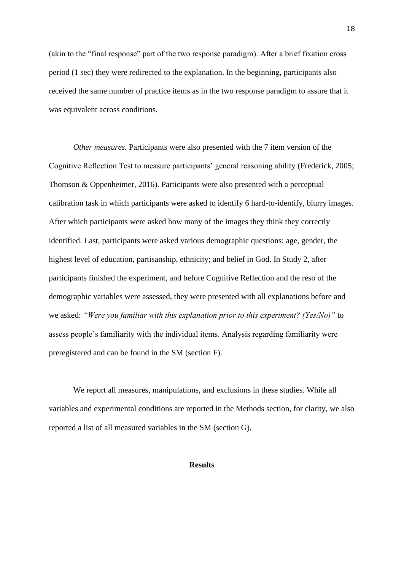(akin to the "final response" part of the two response paradigm). After a brief fixation cross period (1 sec) they were redirected to the explanation. In the beginning, participants also received the same number of practice items as in the two response paradigm to assure that it was equivalent across conditions.

*Other measures.* Participants were also presented with the 7 item version of the Cognitive Reflection Test to measure participants' general reasoning ability [\(Frederick, 2005;](https://www.zotero.org/google-docs/?eJN9z7)  [Thomson & Oppenheimer, 2016\).](https://www.zotero.org/google-docs/?eJN9z7) Participants were also presented with a perceptual calibration task in which participants were asked to identify 6 hard-to-identify, blurry images. After which participants were asked how many of the images they think they correctly identified. Last, participants were asked various demographic questions: age, gender, the highest level of education, partisanship, ethnicity; and belief in God. In Study 2, after participants finished the experiment, and before Cognitive Reflection and the reso of the demographic variables were assessed, they were presented with all explanations before and we asked: *"Were you familiar with this explanation prior to this experiment? (Yes/No)"* to assess people's familiarity with the individual items. Analysis regarding familiarity were preregistered and can be found in the SM (section F).

We report all measures, manipulations, and exclusions in these studies. While all variables and experimental conditions are reported in the Methods section, for clarity, we also reported a list of all measured variables in the SM (section G).

#### **Results**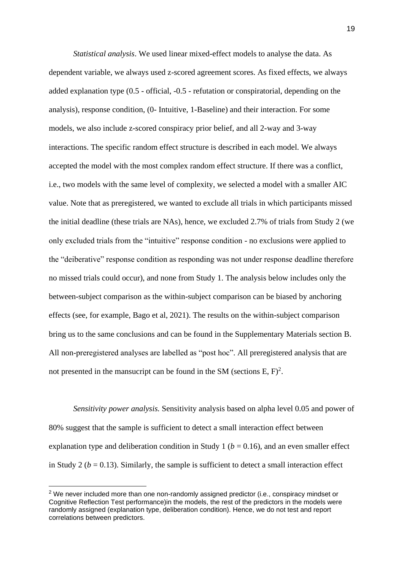*Statistical analysis*. We used linear mixed-effect models to analyse the data. As dependent variable, we always used z-scored agreement scores. As fixed effects, we always added explanation type (0.5 - official, -0.5 - refutation or conspiratorial, depending on the analysis), response condition, (0- Intuitive, 1-Baseline) and their interaction. For some models, we also include z-scored conspiracy prior belief, and all 2-way and 3-way interactions. The specific random effect structure is described in each model. We always accepted the model with the most complex random effect structure. If there was a conflict, i.e., two models with the same level of complexity, we selected a model with a smaller AIC value. Note that as preregistered, we wanted to exclude all trials in which participants missed the initial deadline (these trials are NAs), hence, we excluded 2.7% of trials from Study 2 (we only excluded trials from the "intuitive" response condition - no exclusions were applied to the "deiberative" response condition as responding was not under response deadline therefore no missed trials could occur), and none from Study 1. The analysis below includes only the between-subject comparison as the within-subject comparison can be biased by anchoring effects (see, for example, Bago et al, 2021). The results on the within-subject comparison bring us to the same conclusions and can be found in the Supplementary Materials section B. All non-preregistered analyses are labelled as "post hoc". All preregistered analysis that are not presented in the mansucript can be found in the SM (sections  $E, F$ )<sup>2</sup>.

*Sensitivity power analysis.* Sensitivity analysis based on alpha level 0.05 and power of 80% suggest that the sample is sufficient to detect a small interaction effect between explanation type and deliberation condition in Study 1 ( $b = 0.16$ ), and an even smaller effect in Study 2 ( $b = 0.13$ ). Similarly, the sample is sufficient to detect a small interaction effect

 $2$  We never included more than one non-randomly assigned predictor (i.e., conspiracy mindset or Cognitive Reflection Test performance)in the models, the rest of the predictors in the models were randomly assigned (explanation type, deliberation condition). Hence, we do not test and report correlations between predictors.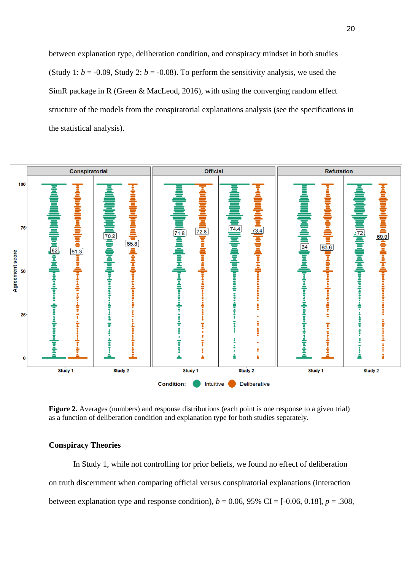between explanation type, deliberation condition, and conspiracy mindset in both studies (Study 1:  $b = -0.09$ , Study 2:  $b = -0.08$ ). To perform the sensitivity analysis, we used the SimR package in R [\(Green & MacLeod, 2016\),](https://www.zotero.org/google-docs/?16Ojcg) with using the converging random effect structure of the models from the conspiratorial explanations analysis (see the specifications in the statistical analysis).



**Figure 2.** Averages (numbers) and response distributions (each point is one response to a given trial) as a function of deliberation condition and explanation type for both studies separately.

#### **Conspiracy Theories**

In Study 1, while not controlling for prior beliefs, we found no effect of deliberation on truth discernment when comparing official versus conspiratorial explanations (interaction between explanation type and response condition),  $b = 0.06, 95\%$  CI = [-0.06, 0.18],  $p = .308$ ,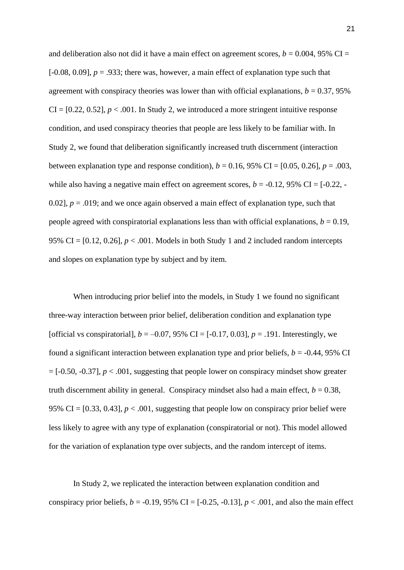and deliberation also not did it have a main effect on agreement scores,  $b = 0.004$ , 95% CI =  $[-0.08, 0.09]$ ,  $p = .933$ ; there was, however, a main effect of explanation type such that agreement with conspiracy theories was lower than with official explanations,  $b = 0.37$ , 95%  $CI = [0.22, 0.52], p < .001$ . In Study 2, we introduced a more stringent intuitive response condition, and used conspiracy theories that people are less likely to be familiar with. In Study 2, we found that deliberation significantly increased truth discernment (interaction between explanation type and response condition),  $b = 0.16$ , 95% CI = [0.05, 0.26],  $p = .003$ , while also having a negative main effect on agreement scores,  $b = -0.12$ , 95% CI =  $[-0.22, -1.2]$ 0.02],  $p = 0.019$ ; and we once again observed a main effect of explanation type, such that people agreed with conspiratorial explanations less than with official explanations,  $b = 0.19$ , 95% CI =  $[0.12, 0.26]$ ,  $p < .001$ . Models in both Study 1 and 2 included random intercepts and slopes on explanation type by subject and by item.

When introducing prior belief into the models, in Study 1 we found no significant three-way interaction between prior belief, deliberation condition and explanation type [official vs conspiratorial],  $b = -0.07, 95\%$  CI =  $[-0.17, 0.03]$ ,  $p = .191$ . Interestingly, we found a significant interaction between explanation type and prior beliefs,  $b = -0.44$ , 95% CI  $=[-0.50, -0.37]$ ,  $p < .001$ , suggesting that people lower on conspiracy mindset show greater truth discernment ability in general. Conspiracy mindset also had a main effect,  $b = 0.38$ , 95% CI =  $[0.33, 0.43]$ ,  $p < .001$ , suggesting that people low on conspiracy prior belief were less likely to agree with any type of explanation (conspiratorial or not). This model allowed for the variation of explanation type over subjects, and the random intercept of items.

In Study 2, we replicated the interaction between explanation condition and conspiracy prior beliefs,  $b = -0.19$ , 95% CI =  $[-0.25, -0.13]$ ,  $p < .001$ , and also the main effect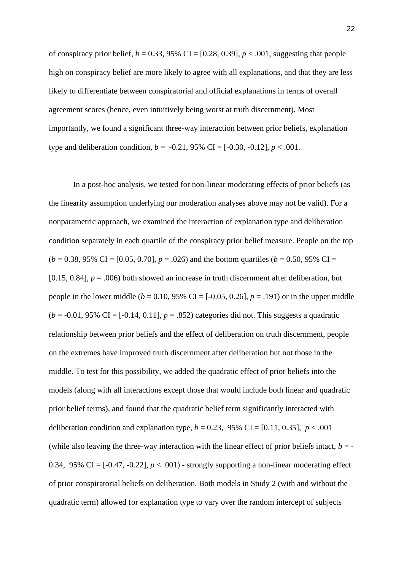of conspiracy prior belief,  $b = 0.33$ , 95% CI = [0.28, 0.39],  $p < .001$ , suggesting that people high on conspiracy belief are more likely to agree with all explanations, and that they are less likely to differentiate between conspiratorial and official explanations in terms of overall agreement scores (hence, even intuitively being worst at truth discernment). Most importantly, we found a significant three-way interaction between prior beliefs, explanation type and deliberation condition,  $b = -0.21$ , 95% CI = [-0.30, -0.12],  $p < .001$ .

In a post-hoc analysis, we tested for non-linear moderating effects of prior beliefs (as the linearity assumption underlying our moderation analyses above may not be valid). For a nonparametric approach, we examined the interaction of explanation type and deliberation condition separately in each quartile of the conspiracy prior belief measure. People on the top  $(b = 0.38, 95\% \text{ CI} = [0.05, 0.70], p = .026)$  and the bottom quartiles  $(b = 0.50, 95\% \text{ CI} =$ [0.15, 0.84],  $p = .006$ ) both showed an increase in truth discernment after deliberation, but people in the lower middle ( $b = 0.10$ , 95% CI = [-0.05, 0.26],  $p = .191$ ) or in the upper middle  $(b = -0.01, 95\% \text{ CI} = [-0.14, 0.11], p = .852)$  categories did not. This suggests a quadratic relationship between prior beliefs and the effect of deliberation on truth discernment, people on the extremes have improved truth discernment after deliberation but not those in the middle. To test for this possibility, we added the quadratic effect of prior beliefs into the models (along with all interactions except those that would include both linear and quadratic prior belief terms), and found that the quadratic belief term significantly interacted with deliberation condition and explanation type,  $b = 0.23$ , 95% CI = [0.11, 0.35],  $p < .001$ (while also leaving the three-way interaction with the linear effect of prior beliefs intact,  $b = -$ 0.34, 95% CI =  $[-0.47, -0.22]$ ,  $p < .001$ ) - strongly supporting a non-linear moderating effect of prior conspiratorial beliefs on deliberation. Both models in Study 2 (with and without the quadratic term) allowed for explanation type to vary over the random intercept of subjects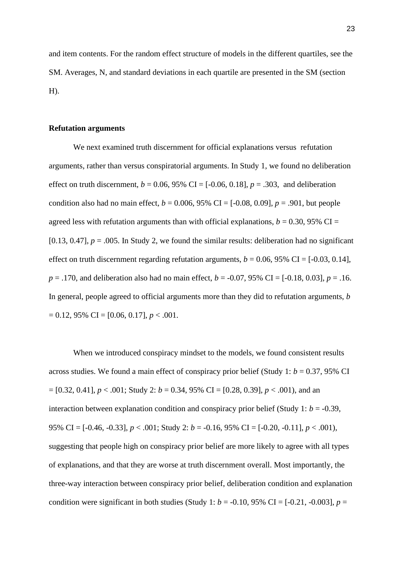and item contents. For the random effect structure of models in the different quartiles, see the SM. Averages, N, and standard deviations in each quartile are presented in the SM (section H).

#### **Refutation arguments**

We next examined truth discernment for official explanations versus refutation arguments, rather than versus conspiratorial arguments. In Study 1, we found no deliberation effect on truth discernment,  $b = 0.06$ , 95% CI = [-0.06, 0.18],  $p = .303$ , and deliberation condition also had no main effect,  $b = 0.006$ , 95% CI = [-0.08, 0.09],  $p = .901$ , but people agreed less with refutation arguments than with official explanations,  $b = 0.30$ , 95% CI = [0.13, 0.47],  $p = .005$ . In Study 2, we found the similar results: deliberation had no significant effect on truth discernment regarding refutation arguments,  $b = 0.06$ , 95% CI = [-0.03, 0.14], *p* = .170, and deliberation also had no main effect, *b* = -0.07, 95% CI = [-0.18, 0.03], *p* = .16. In general, people agreed to official arguments more than they did to refutation arguments, *b*  $= 0.12, 95\% \text{ CI} = [0.06, 0.17], p < .001.$ 

When we introduced conspiracy mindset to the models, we found consistent results across studies. We found a main effect of conspiracy prior belief (Study 1: *b* = 0.37, 95% CI  $= [0.32, 0.41], p < .001$ ; Study 2:  $b = 0.34, 95\%$  CI  $= [0.28, 0.39], p < .001$ ), and an interaction between explanation condition and conspiracy prior belief (Study 1:  $b = -0.39$ , 95% CI = [-0.46, -0.33], *p* < .001; Study 2: *b* = -0.16, 95% CI = [-0.20, -0.11], *p* < .001), suggesting that people high on conspiracy prior belief are more likely to agree with all types of explanations, and that they are worse at truth discernment overall. Most importantly, the three-way interaction between conspiracy prior belief, deliberation condition and explanation condition were significant in both studies (Study 1:  $b = -0.10$ , 95% CI =  $[-0.21, -0.003]$ ,  $p =$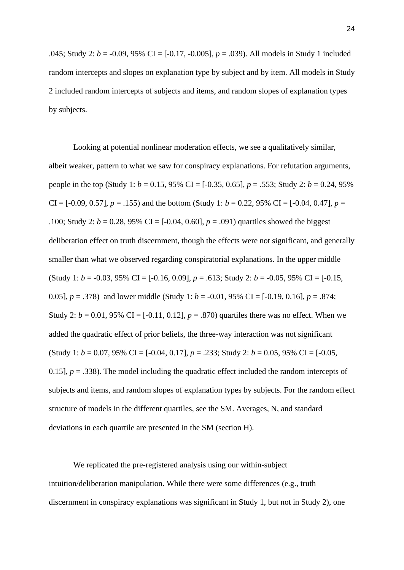.045; Study 2: *b* = -0.09, 95% CI = [-0.17, -0.005], *p* = .039). All models in Study 1 included random intercepts and slopes on explanation type by subject and by item. All models in Study 2 included random intercepts of subjects and items, and random slopes of explanation types by subjects.

Looking at potential nonlinear moderation effects, we see a qualitatively similar, albeit weaker, pattern to what we saw for conspiracy explanations. For refutation arguments, people in the top (Study 1:  $b = 0.15$ , 95% CI = [-0.35, 0.65],  $p = .553$ ; Study 2:  $b = 0.24$ , 95% CI =  $[-0.09, 0.57]$ ,  $p = .155$ ) and the bottom (Study 1:  $b = 0.22, 95\%$  CI =  $[-0.04, 0.47]$ ,  $p =$ .100; Study 2:  $b = 0.28$ , 95% CI = [-0.04, 0.60],  $p = .091$ ) quartiles showed the biggest deliberation effect on truth discernment, though the effects were not significant, and generally smaller than what we observed regarding conspiratorial explanations. In the upper middle (Study 1:  $b = -0.03, 95\%$  CI =  $[-0.16, 0.09]$ ,  $p = .613$ ; Study 2:  $b = -0.05, 95\%$  CI =  $[-0.15, 95]$ 0.05],  $p = .378$  and lower middle (Study 1:  $b = -0.01$ , 95% CI = [-0.19, 0.16],  $p = .874$ ; Study 2:  $b = 0.01$ , 95% CI = [-0.11, 0.12],  $p = .870$  quartiles there was no effect. When we added the quadratic effect of prior beliefs, the three-way interaction was not significant (Study 1:  $b = 0.07$ , 95% CI = [-0.04, 0.17],  $p = .233$ ; Study 2:  $b = 0.05$ , 95% CI = [-0.05, 0.15],  $p = 0.338$ . The model including the quadratic effect included the random intercepts of subjects and items, and random slopes of explanation types by subjects. For the random effect structure of models in the different quartiles, see the SM. Averages, N, and standard deviations in each quartile are presented in the SM (section H).

We replicated the pre-registered analysis using our within-subject intuition/deliberation manipulation. While there were some differences (e.g., truth discernment in conspiracy explanations was significant in Study 1, but not in Study 2), one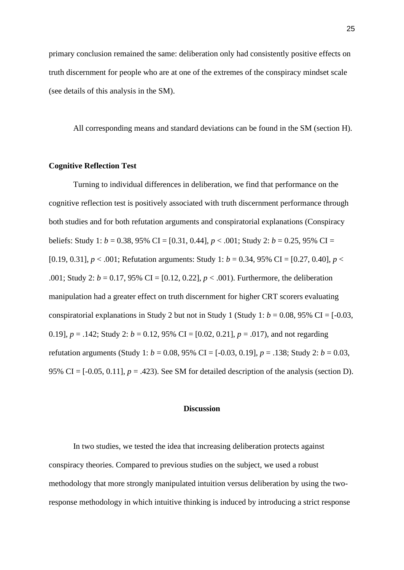primary conclusion remained the same: deliberation only had consistently positive effects on truth discernment for people who are at one of the extremes of the conspiracy mindset scale (see details of this analysis in the SM).

All corresponding means and standard deviations can be found in the SM (section H).

#### **Cognitive Reflection Test**

Turning to individual differences in deliberation, we find that performance on the cognitive reflection test is positively associated with truth discernment performance through both studies and for both refutation arguments and conspiratorial explanations (Conspiracy beliefs: Study 1: *b* = 0.38, 95% CI = [0.31, 0.44], *p* < .001; Study 2: *b* = 0.25, 95% CI = [0.19, 0.31], *p* < .001; Refutation arguments: Study 1: *b* = 0.34, 95% CI = [0.27, 0.40], *p* < .001; Study 2: *b* = 0.17, 95% CI = [0.12, 0.22], *p* < .001). Furthermore, the deliberation manipulation had a greater effect on truth discernment for higher CRT scorers evaluating conspiratorial explanations in Study 2 but not in Study 1 (Study 1:  $b = 0.08$ , 95% CI = [-0.03, 0.19],  $p = .142$ ; Study 2:  $b = 0.12$ , 95% CI = [0.02, 0.21],  $p = .017$ ), and not regarding refutation arguments (Study 1: *b* = 0.08, 95% CI = [-0.03, 0.19], *p* = .138; Study 2: *b* = 0.03, 95% CI =  $[-0.05, 0.11]$ ,  $p = .423$ ). See SM for detailed description of the analysis (section D).

#### **Discussion**

In two studies, we tested the idea that increasing deliberation protects against conspiracy theories. Compared to previous studies on the subject, we used a robust methodology that more strongly manipulated intuition versus deliberation by using the tworesponse methodology in which intuitive thinking is induced by introducing a strict response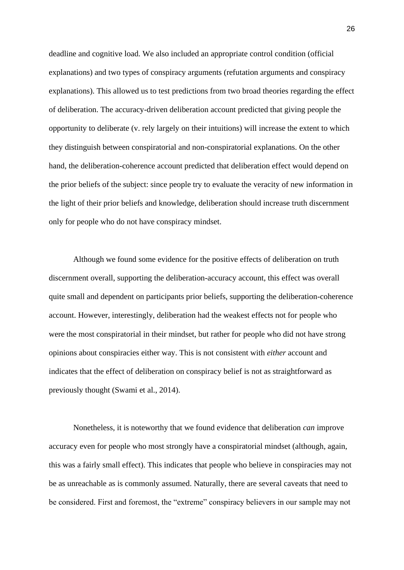deadline and cognitive load. We also included an appropriate control condition (official explanations) and two types of conspiracy arguments (refutation arguments and conspiracy explanations). This allowed us to test predictions from two broad theories regarding the effect of deliberation. The accuracy-driven deliberation account predicted that giving people the opportunity to deliberate (v. rely largely on their intuitions) will increase the extent to which they distinguish between conspiratorial and non-conspiratorial explanations. On the other hand, the deliberation-coherence account predicted that deliberation effect would depend on the prior beliefs of the subject: since people try to evaluate the veracity of new information in the light of their prior beliefs and knowledge, deliberation should increase truth discernment only for people who do not have conspiracy mindset.

Although we found some evidence for the positive effects of deliberation on truth discernment overall, supporting the deliberation-accuracy account, this effect was overall quite small and dependent on participants prior beliefs, supporting the deliberation-coherence account. However, interestingly, deliberation had the weakest effects not for people who were the most conspiratorial in their mindset, but rather for people who did not have strong opinions about conspiracies either way. This is not consistent with *either* account and indicates that the effect of deliberation on conspiracy belief is not as straightforward as previously thought [\(Swami et al., 2014\).](https://www.zotero.org/google-docs/?a39mBP)

Nonetheless, it is noteworthy that we found evidence that deliberation *can* improve accuracy even for people who most strongly have a conspiratorial mindset (although, again, this was a fairly small effect). This indicates that people who believe in conspiracies may not be as unreachable as is commonly assumed. Naturally, there are several caveats that need to be considered. First and foremost, the "extreme" conspiracy believers in our sample may not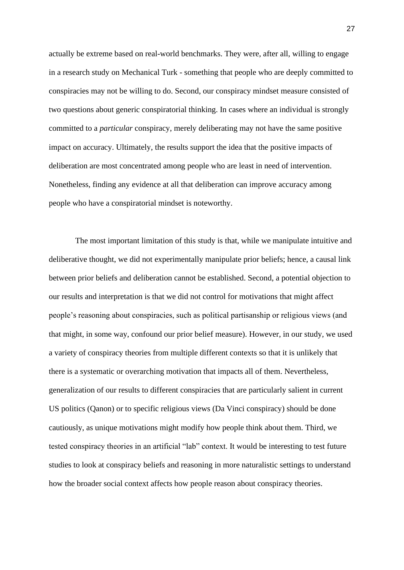actually be extreme based on real-world benchmarks. They were, after all, willing to engage in a research study on Mechanical Turk - something that people who are deeply committed to conspiracies may not be willing to do. Second, our conspiracy mindset measure consisted of two questions about generic conspiratorial thinking. In cases where an individual is strongly committed to a *particular* conspiracy, merely deliberating may not have the same positive impact on accuracy. Ultimately, the results support the idea that the positive impacts of deliberation are most concentrated among people who are least in need of intervention. Nonetheless, finding any evidence at all that deliberation can improve accuracy among people who have a conspiratorial mindset is noteworthy.

The most important limitation of this study is that, while we manipulate intuitive and deliberative thought, we did not experimentally manipulate prior beliefs; hence, a causal link between prior beliefs and deliberation cannot be established. Second, a potential objection to our results and interpretation is that we did not control for motivations that might affect people's reasoning about conspiracies, such as political partisanship or religious views (and that might, in some way, confound our prior belief measure). However, in our study, we used a variety of conspiracy theories from multiple different contexts so that it is unlikely that there is a systematic or overarching motivation that impacts all of them. Nevertheless, generalization of our results to different conspiracies that are particularly salient in current US politics (Qanon) or to specific religious views (Da Vinci conspiracy) should be done cautiously, as unique motivations might modify how people think about them. Third, we tested conspiracy theories in an artificial "lab" context. It would be interesting to test future studies to look at conspiracy beliefs and reasoning in more naturalistic settings to understand how the broader social context affects how people reason about conspiracy theories.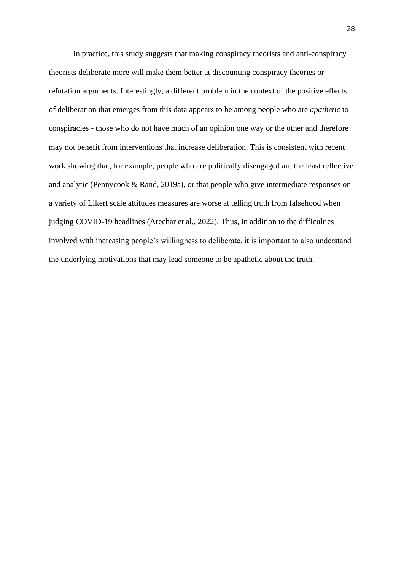In practice, this study suggests that making conspiracy theorists and anti-conspiracy theorists deliberate more will make them better at discounting conspiracy theories or refutation arguments. Interestingly, a different problem in the context of the positive effects of deliberation that emerges from this data appears to be among people who are *apathetic* to conspiracies - those who do not have much of an opinion one way or the other and therefore may not benefit from interventions that increase deliberation. This is consistent with recent work showing that, for example, people who are politically disengaged are the least reflective and analytic [\(Pennycook & Rand, 2019a\),](https://www.zotero.org/google-docs/?zlBJt2) or that people who give intermediate responses on a variety of Likert scale attitudes measures are worse at telling truth from falsehood when judging COVID-19 headlines [\(Arechar et al., 2022\).](https://www.zotero.org/google-docs/?9VpbPg) Thus, in addition to the difficulties involved with increasing people's willingness to deliberate, it is important to also understand the underlying motivations that may lead someone to be apathetic about the truth.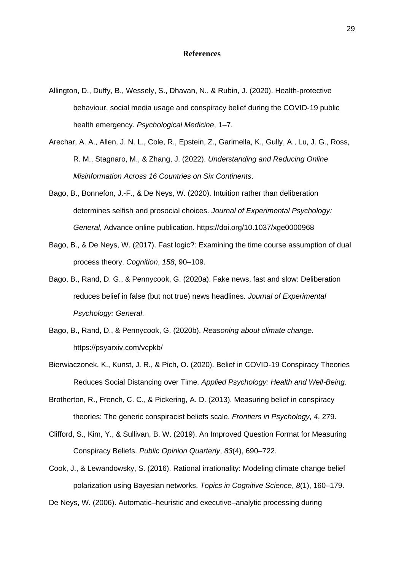#### **References**

- [Allington, D., Duffy, B., Wessely, S., Dhavan, N., & Rubin, J. \(2020\). Health-protective](https://www.zotero.org/google-docs/?HLSLEm)  [behaviour, social media usage and conspiracy belief during the COVID-19 public](https://www.zotero.org/google-docs/?HLSLEm)  [health emergency.](https://www.zotero.org/google-docs/?HLSLEm) *[Psychological Medicine](https://www.zotero.org/google-docs/?HLSLEm)*[, 1–7.](https://www.zotero.org/google-docs/?HLSLEm)
- [Arechar, A. A., Allen, J. N. L., Cole, R., Epstein, Z., Garimella, K., Gully, A., Lu, J. G., Ross,](https://www.zotero.org/google-docs/?HLSLEm)  [R. M., Stagnaro, M., & Zhang, J. \(2022\).](https://www.zotero.org/google-docs/?HLSLEm) *[Understanding and Reducing Online](https://www.zotero.org/google-docs/?HLSLEm)  [Misinformation Across 16 Countries on Six Continents](https://www.zotero.org/google-docs/?HLSLEm)*[.](https://www.zotero.org/google-docs/?HLSLEm)
- [Bago, B., Bonnefon, J.-F., & De Neys, W. \(2020\). Intuition rather than deliberation](https://www.zotero.org/google-docs/?HLSLEm)  [determines selfish and prosocial choices.](https://www.zotero.org/google-docs/?HLSLEm) *[Journal of Experimental Psychology:](https://www.zotero.org/google-docs/?HLSLEm)  [General](https://www.zotero.org/google-docs/?HLSLEm)*[, Advance online publication. https://doi.org/10.1037/xge0000968](https://www.zotero.org/google-docs/?HLSLEm)
- [Bago, B., & De Neys, W. \(2017\). Fast logic?: Examining the time course assumption of dual](https://www.zotero.org/google-docs/?HLSLEm)  [process theory.](https://www.zotero.org/google-docs/?HLSLEm) *[Cognition](https://www.zotero.org/google-docs/?HLSLEm)*[,](https://www.zotero.org/google-docs/?HLSLEm) *[158](https://www.zotero.org/google-docs/?HLSLEm)*[, 90–109.](https://www.zotero.org/google-docs/?HLSLEm)
- [Bago, B., Rand, D. G., & Pennycook, G. \(2020a\). Fake news, fast and slow: Deliberation](https://www.zotero.org/google-docs/?HLSLEm)  [reduces belief in false \(but not true\) news headlines.](https://www.zotero.org/google-docs/?HLSLEm) *[Journal of Experimental](https://www.zotero.org/google-docs/?HLSLEm)  [Psychology: General](https://www.zotero.org/google-docs/?HLSLEm)*[.](https://www.zotero.org/google-docs/?HLSLEm)
- [Bago, B., Rand, D., & Pennycook, G. \(2020b\).](https://www.zotero.org/google-docs/?HLSLEm) *[Reasoning about climate change](https://www.zotero.org/google-docs/?HLSLEm)*[.](https://www.zotero.org/google-docs/?HLSLEm)  [https://psyarxiv.com/vcpkb/](https://www.zotero.org/google-docs/?HLSLEm)
- [Bierwiaczonek, K., Kunst, J. R., & Pich, O. \(2020\). Belief in COVID](https://www.zotero.org/google-docs/?HLSLEm)‐19 Conspiracy Theories [Reduces Social Distancing](https://www.zotero.org/google-docs/?HLSLEm) over Time. *[Applied Psychology: Health and Well](https://www.zotero.org/google-docs/?HLSLEm)*‐*Being*[.](https://www.zotero.org/google-docs/?HLSLEm)
- Brotherton, R., [French, C. C., & Pickering, A. D. \(2013\). Measuring belief in conspiracy](https://www.zotero.org/google-docs/?HLSLEm)  [theories: The generic conspiracist beliefs scale.](https://www.zotero.org/google-docs/?HLSLEm) *[Frontiers in Psychology](https://www.zotero.org/google-docs/?HLSLEm)*[,](https://www.zotero.org/google-docs/?HLSLEm) *[4](https://www.zotero.org/google-docs/?HLSLEm)*[, 279.](https://www.zotero.org/google-docs/?HLSLEm)
- [Clifford, S., Kim, Y., & Sullivan, B. W. \(2019\). An Improved Question Format for Measuring](https://www.zotero.org/google-docs/?HLSLEm)  [Conspiracy Beliefs.](https://www.zotero.org/google-docs/?HLSLEm) *[Public Opinion Quarterly](https://www.zotero.org/google-docs/?HLSLEm)*[,](https://www.zotero.org/google-docs/?HLSLEm) *[83](https://www.zotero.org/google-docs/?HLSLEm)*[\(4\), 690–722.](https://www.zotero.org/google-docs/?HLSLEm)
- [Cook, J., & Lewandowsky, S. \(2016\). Rational irrationality: Modeling climate change belief](https://www.zotero.org/google-docs/?HLSLEm)  [polarization using Bayesian networks.](https://www.zotero.org/google-docs/?HLSLEm) *[Topics in Cognitive Science](https://www.zotero.org/google-docs/?HLSLEm)*[,](https://www.zotero.org/google-docs/?HLSLEm) *[8](https://www.zotero.org/google-docs/?HLSLEm)*[\(1\), 160–179.](https://www.zotero.org/google-docs/?HLSLEm)

[De Neys, W. \(2006\). Automatic–heuristic and executive–analytic processing during](https://www.zotero.org/google-docs/?HLSLEm)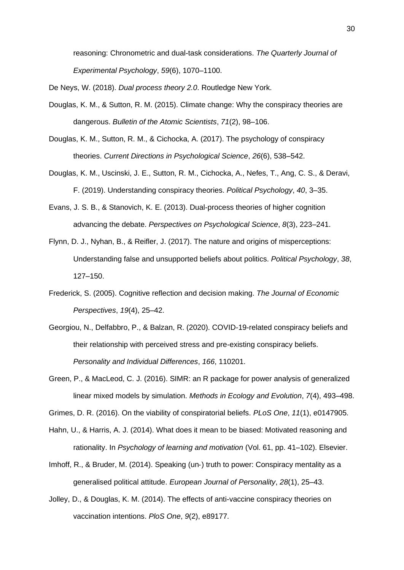[reasoning: Chronometric and dual-task considerations.](https://www.zotero.org/google-docs/?HLSLEm) *[The Quarterly Journal of](https://www.zotero.org/google-docs/?HLSLEm)  [Experimental Psychology](https://www.zotero.org/google-docs/?HLSLEm)*[,](https://www.zotero.org/google-docs/?HLSLEm) *[59](https://www.zotero.org/google-docs/?HLSLEm)*[\(6\), 1070–1100.](https://www.zotero.org/google-docs/?HLSLEm)

[De Neys, W. \(2018\).](https://www.zotero.org/google-docs/?HLSLEm) *[Dual process theory 2.0](https://www.zotero.org/google-docs/?HLSLEm)*[. Routledge New York.](https://www.zotero.org/google-docs/?HLSLEm)

- [Douglas, K. M., & Sutton, R. M. \(2015\). Climate change: Why the conspiracy theories are](https://www.zotero.org/google-docs/?HLSLEm)  [dangerous.](https://www.zotero.org/google-docs/?HLSLEm) *[Bulletin of the Atomic Scientists](https://www.zotero.org/google-docs/?HLSLEm)*[,](https://www.zotero.org/google-docs/?HLSLEm) *[71](https://www.zotero.org/google-docs/?HLSLEm)*[\(2\), 98–106.](https://www.zotero.org/google-docs/?HLSLEm)
- [Douglas, K. M., Sutton, R. M., & Cichocka, A. \(2017\). The psychology of conspiracy](https://www.zotero.org/google-docs/?HLSLEm)  [theories.](https://www.zotero.org/google-docs/?HLSLEm) *[Current Directions in Psychological Science](https://www.zotero.org/google-docs/?HLSLEm)*[,](https://www.zotero.org/google-docs/?HLSLEm) *[26](https://www.zotero.org/google-docs/?HLSLEm)*[\(6\), 538–542.](https://www.zotero.org/google-docs/?HLSLEm)
- [Douglas, K. M., Uscinski, J. E., Sutton, R. M., Cichocka, A., Nefes, T., Ang, C. S., & Deravi,](https://www.zotero.org/google-docs/?HLSLEm)  [F. \(2019\). Understanding conspiracy theories.](https://www.zotero.org/google-docs/?HLSLEm) *[Political Psychology](https://www.zotero.org/google-docs/?HLSLEm)*[,](https://www.zotero.org/google-docs/?HLSLEm) *[40](https://www.zotero.org/google-docs/?HLSLEm)*[, 3–35.](https://www.zotero.org/google-docs/?HLSLEm)
- [Evans, J. S. B., & Stanovich, K. E. \(2013\). Dual-process theories of higher cognition](https://www.zotero.org/google-docs/?HLSLEm)  [advancing the debate.](https://www.zotero.org/google-docs/?HLSLEm) *[Perspectives on Psychological Science](https://www.zotero.org/google-docs/?HLSLEm)*[,](https://www.zotero.org/google-docs/?HLSLEm) *[8](https://www.zotero.org/google-docs/?HLSLEm)*[\(3\), 223–241.](https://www.zotero.org/google-docs/?HLSLEm)
- [Flynn, D. J., Nyhan, B., & Reifler, J. \(2017\). The nature and origins of misperceptions:](https://www.zotero.org/google-docs/?HLSLEm)  [Understanding false and unsupported beliefs about politics.](https://www.zotero.org/google-docs/?HLSLEm) *[Political Psychology](https://www.zotero.org/google-docs/?HLSLEm)*[,](https://www.zotero.org/google-docs/?HLSLEm) *[38](https://www.zotero.org/google-docs/?HLSLEm)*[,](https://www.zotero.org/google-docs/?HLSLEm)  [127–150.](https://www.zotero.org/google-docs/?HLSLEm)
- [Frederick, S. \(2005\). Cognitive reflection and decision making.](https://www.zotero.org/google-docs/?HLSLEm) *[The Journal of Economic](https://www.zotero.org/google-docs/?HLSLEm)  [Perspectives](https://www.zotero.org/google-docs/?HLSLEm)*[,](https://www.zotero.org/google-docs/?HLSLEm) *[19](https://www.zotero.org/google-docs/?HLSLEm)*[\(4\), 25–42.](https://www.zotero.org/google-docs/?HLSLEm)
- [Georgiou, N., Delfabbro, P., & Balzan, R. \(2020\). COVID-19-related conspiracy beliefs and](https://www.zotero.org/google-docs/?HLSLEm)  [their relationship with perceived stress and pre-existing conspiracy beliefs.](https://www.zotero.org/google-docs/?HLSLEm)  *[Personality and Individual Differences](https://www.zotero.org/google-docs/?HLSLEm)*[,](https://www.zotero.org/google-docs/?HLSLEm) *[166](https://www.zotero.org/google-docs/?HLSLEm)*[, 110201.](https://www.zotero.org/google-docs/?HLSLEm)
- [Green, P., & MacLeod, C. J. \(2016\). SIMR: an R package for power analysis of generalized](https://www.zotero.org/google-docs/?HLSLEm)  [linear mixed models by simulation.](https://www.zotero.org/google-docs/?HLSLEm) *[Methods in Ecology and Evolution](https://www.zotero.org/google-docs/?HLSLEm)*[,](https://www.zotero.org/google-docs/?HLSLEm) *[7](https://www.zotero.org/google-docs/?HLSLEm)*[\(4\), 493–498.](https://www.zotero.org/google-docs/?HLSLEm)

[Grimes, D. R. \(2016\). On the viability of conspiratorial beliefs.](https://www.zotero.org/google-docs/?HLSLEm) *[PLoS One](https://www.zotero.org/google-docs/?HLSLEm)*[,](https://www.zotero.org/google-docs/?HLSLEm) *[11](https://www.zotero.org/google-docs/?HLSLEm)*[\(1\), e0147905.](https://www.zotero.org/google-docs/?HLSLEm)

- [Hahn, U., & Harris, A. J. \(2014\). What does it mean to be biased: Motivated reasoning and](https://www.zotero.org/google-docs/?HLSLEm)  [rationality. In](https://www.zotero.org/google-docs/?HLSLEm) *[Psychology of learning and motivation](https://www.zotero.org/google-docs/?HLSLEm)* [\(Vol. 61, pp. 41–102\). Elsevier.](https://www.zotero.org/google-docs/?HLSLEm)
- [Imhoff, R., & Bruder, M. \(2014\). Speaking \(un](https://www.zotero.org/google-docs/?HLSLEm)-) truth to power: Conspiracy mentality as a [generalised political attitude.](https://www.zotero.org/google-docs/?HLSLEm) *[European Journal of Personality](https://www.zotero.org/google-docs/?HLSLEm)*[,](https://www.zotero.org/google-docs/?HLSLEm) *[28](https://www.zotero.org/google-docs/?HLSLEm)*[\(1\), 25–43.](https://www.zotero.org/google-docs/?HLSLEm)
- [Jolley, D., & Douglas, K. M. \(2014\). The effects of anti-vaccine conspiracy theories on](https://www.zotero.org/google-docs/?HLSLEm)  [vaccination intentions.](https://www.zotero.org/google-docs/?HLSLEm) *[PloS One](https://www.zotero.org/google-docs/?HLSLEm)*[,](https://www.zotero.org/google-docs/?HLSLEm) *[9](https://www.zotero.org/google-docs/?HLSLEm)*[\(2\), e89177.](https://www.zotero.org/google-docs/?HLSLEm)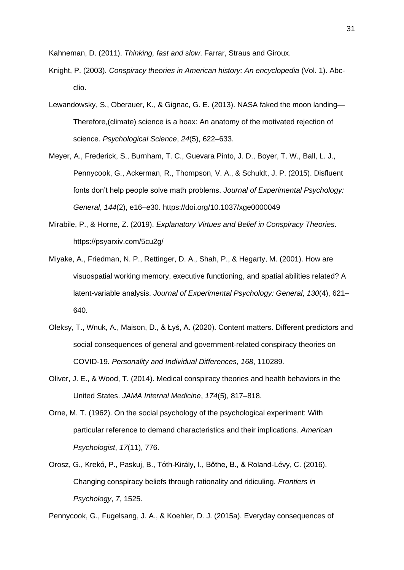[Kahneman, D. \(2011\).](https://www.zotero.org/google-docs/?HLSLEm) *[Thinking, fast and slow](https://www.zotero.org/google-docs/?HLSLEm)*[. Farrar, Straus and](https://www.zotero.org/google-docs/?HLSLEm) Giroux.

- [Knight, P. \(2003\).](https://www.zotero.org/google-docs/?HLSLEm) *[Conspiracy theories in American history: An encyclopedia](https://www.zotero.org/google-docs/?HLSLEm)* [\(Vol. 1\). Abc](https://www.zotero.org/google-docs/?HLSLEm)[clio.](https://www.zotero.org/google-docs/?HLSLEm)
- [Lewandowsky, S., Oberauer, K., & Gignac, G. E. \(2013\). NASA faked the moon landing—](https://www.zotero.org/google-docs/?HLSLEm) [Therefore,\(climate\) science is a hoax: An anatomy of the motivated rejection of](https://www.zotero.org/google-docs/?HLSLEm)  [science.](https://www.zotero.org/google-docs/?HLSLEm) *[Psychological Science](https://www.zotero.org/google-docs/?HLSLEm)*[,](https://www.zotero.org/google-docs/?HLSLEm) *[24](https://www.zotero.org/google-docs/?HLSLEm)*[\(5\), 622–633.](https://www.zotero.org/google-docs/?HLSLEm)
- [Meyer, A., Frederick, S., Burnham, T. C., Guevara Pinto, J. D., Boyer, T. W., Ball, L. J.,](https://www.zotero.org/google-docs/?HLSLEm)  [Pennycook, G., Ackerman, R., Thompson, V. A., & Schuldt, J. P. \(2015\). Disfluent](https://www.zotero.org/google-docs/?HLSLEm)  [fonts don't help people solve math problems.](https://www.zotero.org/google-docs/?HLSLEm) *[Journal of Experimental Psychology:](https://www.zotero.org/google-docs/?HLSLEm)  [General](https://www.zotero.org/google-docs/?HLSLEm)*[,](https://www.zotero.org/google-docs/?HLSLEm) *[144](https://www.zotero.org/google-docs/?HLSLEm)*[\(2\), e16–e30. https://doi.org/10.1037/xge0000049](https://www.zotero.org/google-docs/?HLSLEm)
- [Mirabile, P., & Horne, Z. \(2019\).](https://www.zotero.org/google-docs/?HLSLEm) *[Explanatory Virtues and Belief in Conspiracy Theories](https://www.zotero.org/google-docs/?HLSLEm)*[.](https://www.zotero.org/google-docs/?HLSLEm)  [https://psyarxiv.com/5cu2g/](https://www.zotero.org/google-docs/?HLSLEm)
- [Miyake, A., Friedman, N. P., Rettinger, D. A., Shah, P., & Hegarty, M. \(2001\). How are](https://www.zotero.org/google-docs/?HLSLEm)  [visuospatial working memory, executive functioning, and spatial abilities related? A](https://www.zotero.org/google-docs/?HLSLEm)  [latent-variable analysis.](https://www.zotero.org/google-docs/?HLSLEm) *[Journal of Experimental Psychology: General](https://www.zotero.org/google-docs/?HLSLEm)*[,](https://www.zotero.org/google-docs/?HLSLEm) *[130](https://www.zotero.org/google-docs/?HLSLEm)*[\(4\), 621–](https://www.zotero.org/google-docs/?HLSLEm) [640.](https://www.zotero.org/google-docs/?HLSLEm)
- [Oleksy, T., Wnuk, A., Maison, D., & Łyś, A. \(2020\). Content matters. Different predictors and](https://www.zotero.org/google-docs/?HLSLEm)  [social consequences of general and government-related conspiracy theories on](https://www.zotero.org/google-docs/?HLSLEm)  [COVID-19.](https://www.zotero.org/google-docs/?HLSLEm) *[Personality and Individual Differences](https://www.zotero.org/google-docs/?HLSLEm)*[,](https://www.zotero.org/google-docs/?HLSLEm) *[168](https://www.zotero.org/google-docs/?HLSLEm)*[, 110289.](https://www.zotero.org/google-docs/?HLSLEm)
- [Oliver, J. E., & Wood, T. \(2014\). Medical conspiracy theories and health behaviors in the](https://www.zotero.org/google-docs/?HLSLEm)  [United States.](https://www.zotero.org/google-docs/?HLSLEm) *[JAMA Internal Medicine](https://www.zotero.org/google-docs/?HLSLEm)*[,](https://www.zotero.org/google-docs/?HLSLEm) *[174](https://www.zotero.org/google-docs/?HLSLEm)*[\(5\), 817–818.](https://www.zotero.org/google-docs/?HLSLEm)
- [Orne, M. T. \(1962\). On the social psychology of the psychological experiment: With](https://www.zotero.org/google-docs/?HLSLEm)  [particular reference to demand characteristics and their implications.](https://www.zotero.org/google-docs/?HLSLEm) *[American](https://www.zotero.org/google-docs/?HLSLEm)  [Psychologist](https://www.zotero.org/google-docs/?HLSLEm)*[,](https://www.zotero.org/google-docs/?HLSLEm) *[17](https://www.zotero.org/google-docs/?HLSLEm)*[\(11\), 776.](https://www.zotero.org/google-docs/?HLSLEm)
- [Orosz, G., Krekó, P., Paskuj, B., Tóth-Király, I., Bőthe, B., & Roland-Lévy, C. \(2016\).](https://www.zotero.org/google-docs/?HLSLEm)  [Changing conspiracy beliefs through rationality and ridiculing.](https://www.zotero.org/google-docs/?HLSLEm) *[Frontiers in](https://www.zotero.org/google-docs/?HLSLEm)  [Psychology](https://www.zotero.org/google-docs/?HLSLEm)*[,](https://www.zotero.org/google-docs/?HLSLEm) *[7](https://www.zotero.org/google-docs/?HLSLEm)*[, 1525.](https://www.zotero.org/google-docs/?HLSLEm)

[Pennycook, G., Fugelsang, J. A., & Koehler, D. J. \(2015a\). Everyday consequences of](https://www.zotero.org/google-docs/?HLSLEm)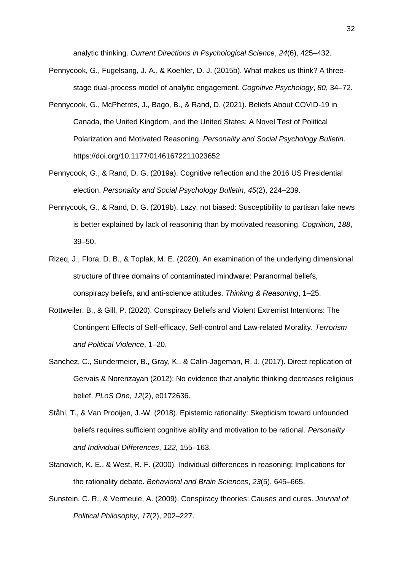[analytic thinking.](https://www.zotero.org/google-docs/?HLSLEm) *[Current Directions in Psychological Science](https://www.zotero.org/google-docs/?HLSLEm)*[,](https://www.zotero.org/google-docs/?HLSLEm) *[24](https://www.zotero.org/google-docs/?HLSLEm)*[\(6\), 425–432.](https://www.zotero.org/google-docs/?HLSLEm)

- [Pennycook, G., Fugelsang, J. A., & Koehler, D. J. \(2015b\). What makes us think? A three](https://www.zotero.org/google-docs/?HLSLEm)[stage dual-process model of analytic engagement.](https://www.zotero.org/google-docs/?HLSLEm) *[Cognitive Psychology](https://www.zotero.org/google-docs/?HLSLEm)*[,](https://www.zotero.org/google-docs/?HLSLEm) *[80](https://www.zotero.org/google-docs/?HLSLEm)*[, 34–72.](https://www.zotero.org/google-docs/?HLSLEm)
- [Pennycook, G., McPhetres, J., Bago, B., & Rand, D. \(2021\). Beliefs About COVID-19 in](https://www.zotero.org/google-docs/?HLSLEm)  [Canada, the United Kingdom, and the United States: A Novel Test of Political](https://www.zotero.org/google-docs/?HLSLEm)  [Polarization and Motivated Reasoning.](https://www.zotero.org/google-docs/?HLSLEm) *[Personality and Social Psychology Bulletin](https://www.zotero.org/google-docs/?HLSLEm)*[.](https://www.zotero.org/google-docs/?HLSLEm)  [https://doi.org/10.1177/01461672211023652](https://www.zotero.org/google-docs/?HLSLEm)
- [Pennycook, G., & Rand, D. G. \(2019a\). Cognitive reflection and the 2016 US Presidential](https://www.zotero.org/google-docs/?HLSLEm)  [election.](https://www.zotero.org/google-docs/?HLSLEm) *[Personality and Social Psychology Bulletin](https://www.zotero.org/google-docs/?HLSLEm)*[,](https://www.zotero.org/google-docs/?HLSLEm) *[45](https://www.zotero.org/google-docs/?HLSLEm)*[\(2\), 224–239.](https://www.zotero.org/google-docs/?HLSLEm)
- [Pennycook, G., & Rand, D. G. \(2019b\). Lazy, not biased: Susceptibility to partisan fake news](https://www.zotero.org/google-docs/?HLSLEm)  [is better explained by lack of reasoning than by motivated reasoning.](https://www.zotero.org/google-docs/?HLSLEm) *[Cognition](https://www.zotero.org/google-docs/?HLSLEm)*[,](https://www.zotero.org/google-docs/?HLSLEm) *[188](https://www.zotero.org/google-docs/?HLSLEm)*[,](https://www.zotero.org/google-docs/?HLSLEm)  [39–50.](https://www.zotero.org/google-docs/?HLSLEm)
- [Rizeq, J., Flora, D. B., & Toplak, M. E. \(2020\). An examination of the underlying dimensional](https://www.zotero.org/google-docs/?HLSLEm)  [structure of three domains of contaminated mindware: Paranormal beliefs,](https://www.zotero.org/google-docs/?HLSLEm)  [conspiracy beliefs, and anti-science attitudes.](https://www.zotero.org/google-docs/?HLSLEm) *[Thinking & Reasoning](https://www.zotero.org/google-docs/?HLSLEm)*[, 1–25.](https://www.zotero.org/google-docs/?HLSLEm)
- [Rottweiler, B., & Gill, P. \(2020\). Conspiracy Beliefs and Violent Extremist Intentions: The](https://www.zotero.org/google-docs/?HLSLEm)  [Contingent Effects of Self-efficacy, Self-control and Law-related Morality.](https://www.zotero.org/google-docs/?HLSLEm) *[Terrorism](https://www.zotero.org/google-docs/?HLSLEm)  [and Political Violence](https://www.zotero.org/google-docs/?HLSLEm)*[, 1–20.](https://www.zotero.org/google-docs/?HLSLEm)
- [Sanchez, C., Sundermeier, B., Gray, K., & Calin-Jageman, R. J. \(2017\). Direct replication of](https://www.zotero.org/google-docs/?HLSLEm)  [Gervais & Norenzayan \(2012\): No evidence that analytic thinking decreases religious](https://www.zotero.org/google-docs/?HLSLEm)  [belief.](https://www.zotero.org/google-docs/?HLSLEm) *[PLoS One](https://www.zotero.org/google-docs/?HLSLEm)*[,](https://www.zotero.org/google-docs/?HLSLEm) *[12](https://www.zotero.org/google-docs/?HLSLEm)*[\(2\), e0172636.](https://www.zotero.org/google-docs/?HLSLEm)
- [Ståhl, T., & Van Prooijen, J.-W. \(2018\). Epistemic rationality: Skepticism toward unfounded](https://www.zotero.org/google-docs/?HLSLEm)  [beliefs requires sufficient cognitive ability and motivation to be rational.](https://www.zotero.org/google-docs/?HLSLEm) *[Personality](https://www.zotero.org/google-docs/?HLSLEm)  [and Individual Differences](https://www.zotero.org/google-docs/?HLSLEm)*[,](https://www.zotero.org/google-docs/?HLSLEm) *[122](https://www.zotero.org/google-docs/?HLSLEm)*[, 155–163.](https://www.zotero.org/google-docs/?HLSLEm)
- [Stanovich, K. E., & West, R. F. \(2000\). Individual differences in reasoning: Implications for](https://www.zotero.org/google-docs/?HLSLEm)  [the rationality debate.](https://www.zotero.org/google-docs/?HLSLEm) *[Behavioral and Brain Sciences](https://www.zotero.org/google-docs/?HLSLEm)*[,](https://www.zotero.org/google-docs/?HLSLEm) *[23](https://www.zotero.org/google-docs/?HLSLEm)*[\(5\), 645–665.](https://www.zotero.org/google-docs/?HLSLEm)
- [Sunstein, C. R., & Vermeule, A. \(2009\). Conspiracy theories: Causes and cures.](https://www.zotero.org/google-docs/?HLSLEm) *[Journal of](https://www.zotero.org/google-docs/?HLSLEm)  [Political Philosophy](https://www.zotero.org/google-docs/?HLSLEm)*[,](https://www.zotero.org/google-docs/?HLSLEm) *[17](https://www.zotero.org/google-docs/?HLSLEm)*[\(2\), 202–227.](https://www.zotero.org/google-docs/?HLSLEm)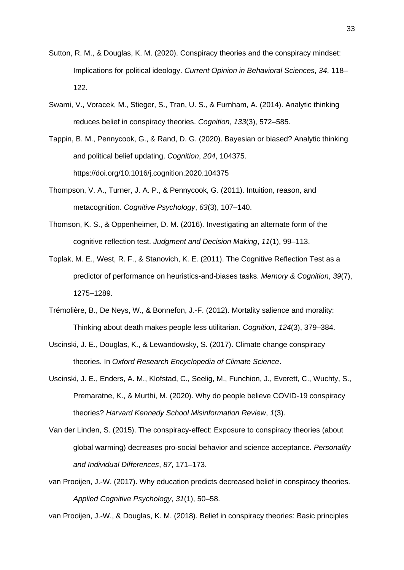- [Sutton, R. M., & Douglas, K. M. \(2020\). Conspiracy theories and the conspiracy mindset:](https://www.zotero.org/google-docs/?HLSLEm)  [Implications for political ideology.](https://www.zotero.org/google-docs/?HLSLEm) *[Current Opinion in Behavioral Sciences](https://www.zotero.org/google-docs/?HLSLEm)*[,](https://www.zotero.org/google-docs/?HLSLEm) *[34](https://www.zotero.org/google-docs/?HLSLEm)*[, 118–](https://www.zotero.org/google-docs/?HLSLEm) [122.](https://www.zotero.org/google-docs/?HLSLEm)
- [Swami, V., Voracek, M., Stieger, S., Tran, U. S., & Furnham, A. \(2014\). Analytic thinking](https://www.zotero.org/google-docs/?HLSLEm)  [reduces belief in conspiracy theories.](https://www.zotero.org/google-docs/?HLSLEm) *[Cognition](https://www.zotero.org/google-docs/?HLSLEm)*[,](https://www.zotero.org/google-docs/?HLSLEm) *[133](https://www.zotero.org/google-docs/?HLSLEm)*[\(3\), 572–585.](https://www.zotero.org/google-docs/?HLSLEm)
- [Tappin, B. M., Pennycook, G., & Rand, D. G. \(2020\). Bayesian or biased? Analytic thinking](https://www.zotero.org/google-docs/?HLSLEm)  [and political belief updating.](https://www.zotero.org/google-docs/?HLSLEm) *[Cognition](https://www.zotero.org/google-docs/?HLSLEm)*[,](https://www.zotero.org/google-docs/?HLSLEm) *[204](https://www.zotero.org/google-docs/?HLSLEm)*[, 104375.](https://www.zotero.org/google-docs/?HLSLEm)  [https://doi.org/10.1016/j.cognition.2020.104375](https://www.zotero.org/google-docs/?HLSLEm)
- [Thompson, V. A., Turner, J. A. P., & Pennycook, G. \(2011\). Intuition, reason, and](https://www.zotero.org/google-docs/?HLSLEm)  [metacognition.](https://www.zotero.org/google-docs/?HLSLEm) *[Cognitive Psychology](https://www.zotero.org/google-docs/?HLSLEm)*[,](https://www.zotero.org/google-docs/?HLSLEm) *[63](https://www.zotero.org/google-docs/?HLSLEm)*[\(3\), 107–140.](https://www.zotero.org/google-docs/?HLSLEm)
- [Thomson, K. S., & Oppenheimer, D. M. \(2016\). Investigating an alternate form of the](https://www.zotero.org/google-docs/?HLSLEm)  [cognitive reflection test.](https://www.zotero.org/google-docs/?HLSLEm) *[Judgment and Decision Making](https://www.zotero.org/google-docs/?HLSLEm)*[,](https://www.zotero.org/google-docs/?HLSLEm) *[11](https://www.zotero.org/google-docs/?HLSLEm)*[\(1\), 99–113.](https://www.zotero.org/google-docs/?HLSLEm)
- [Toplak, M. E., West, R. F., & Stanovich, K. E. \(2011\). The Cognitive Reflection Test as a](https://www.zotero.org/google-docs/?HLSLEm)  [predictor of performance on heuristics-and-biases tasks.](https://www.zotero.org/google-docs/?HLSLEm) *[Memory & Cognition](https://www.zotero.org/google-docs/?HLSLEm)*[,](https://www.zotero.org/google-docs/?HLSLEm) *[39](https://www.zotero.org/google-docs/?HLSLEm)*[\(7\),](https://www.zotero.org/google-docs/?HLSLEm)  [1275–1289.](https://www.zotero.org/google-docs/?HLSLEm)
- [Trémolière, B., De Neys, W., & Bonnefon, J.-F. \(2012\). Mortality salience and morality:](https://www.zotero.org/google-docs/?HLSLEm)  [Thinking about death makes people less utilitarian.](https://www.zotero.org/google-docs/?HLSLEm) *[Cognition](https://www.zotero.org/google-docs/?HLSLEm)*[,](https://www.zotero.org/google-docs/?HLSLEm) *[124](https://www.zotero.org/google-docs/?HLSLEm)*[\(3\), 379–384.](https://www.zotero.org/google-docs/?HLSLEm)
- [Uscinski, J. E., Douglas, K., & Lewandowsky, S. \(2017\). Climate change conspiracy](https://www.zotero.org/google-docs/?HLSLEm)  [theories. In](https://www.zotero.org/google-docs/?HLSLEm) *[Oxford Research Encyclopedia of Climate Science](https://www.zotero.org/google-docs/?HLSLEm)*[.](https://www.zotero.org/google-docs/?HLSLEm)
- [Uscinski, J. E., Enders, A. M., Klofstad, C., Seelig, M., Funchion, J., Everett, C., Wuchty, S.,](https://www.zotero.org/google-docs/?HLSLEm)  [Premaratne, K., & Murthi, M. \(2020\). Why do people believe COVID-19 conspiracy](https://www.zotero.org/google-docs/?HLSLEm)  [theories?](https://www.zotero.org/google-docs/?HLSLEm) *[Harvard Kennedy School Misinformation Review](https://www.zotero.org/google-docs/?HLSLEm)*[,](https://www.zotero.org/google-docs/?HLSLEm) *[1](https://www.zotero.org/google-docs/?HLSLEm)*[\(3\).](https://www.zotero.org/google-docs/?HLSLEm)
- [Van der Linden, S. \(2015\). The conspiracy-effect: Exposure to conspiracy theories \(about](https://www.zotero.org/google-docs/?HLSLEm)  [global warming\) decreases pro-social behavior and science acceptance.](https://www.zotero.org/google-docs/?HLSLEm) *[Personality](https://www.zotero.org/google-docs/?HLSLEm)  [and Individual Differences](https://www.zotero.org/google-docs/?HLSLEm)*[,](https://www.zotero.org/google-docs/?HLSLEm) *[87](https://www.zotero.org/google-docs/?HLSLEm)*[, 171–173.](https://www.zotero.org/google-docs/?HLSLEm)
- [van Prooijen, J.-W. \(2017\). Why education predicts decreased belief in conspiracy theories.](https://www.zotero.org/google-docs/?HLSLEm)  *[Applied Cognitive Psychology](https://www.zotero.org/google-docs/?HLSLEm)*[,](https://www.zotero.org/google-docs/?HLSLEm) *[31](https://www.zotero.org/google-docs/?HLSLEm)*[\(1\), 50–58.](https://www.zotero.org/google-docs/?HLSLEm)

[van Prooijen, J.-W., & Douglas, K. M. \(2018\). Belief in conspiracy theories: Basic principles](https://www.zotero.org/google-docs/?HLSLEm)